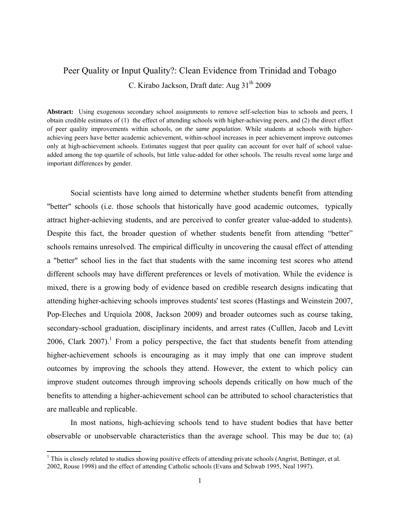# Peer Quality or Input Quality?: Clean Evidence from Trinidad and Tobago C. Kirabo Jackson, Draft date: Aug 31<sup>th</sup> 2009

**Abstract:** Using exogenous secondary school assignments to remove self-selection bias to schools and peers, I obtain credible estimates of (1) the effect of attending schools with higher-achieving peers, and (2) the direct effect of peer quality improvements within schools, *on the same population*. While students at schools with higherachieving peers have better academic achievement, within-school increases in peer achievement improve outcomes only at high-achievement schools. Estimates suggest that peer quality can account for over half of school valueadded among the top quartile of schools, but little value-added for other schools. The results reveal some large and important differences by gender.

 Social scientists have long aimed to determine whether students benefit from attending "better" schools (i.e. those schools that historically have good academic outcomes, typically attract higher-achieving students, and are perceived to confer greater value-added to students). Despite this fact, the broader question of whether students benefit from attending "better" schools remains unresolved. The empirical difficulty in uncovering the causal effect of attending a "better" school lies in the fact that students with the same incoming test scores who attend different schools may have different preferences or levels of motivation. While the evidence is mixed, there is a growing body of evidence based on credible research designs indicating that attending higher-achieving schools improves students' test scores (Hastings and Weinstein 2007, Pop-Eleches and Urquiola 2008, Jackson 2009) and broader outcomes such as course taking, secondary-school graduation, disciplinary incidents, and arrest rates (Culllen, Jacob and Levitt 2006, Clark 2007).<sup>1</sup> From a policy perspective, the fact that students benefit from attending higher-achievement schools is encouraging as it may imply that one can improve student outcomes by improving the schools they attend. However, the extent to which policy can improve student outcomes through improving schools depends critically on how much of the benefits to attending a higher-achievement school can be attributed to school characteristics that are malleable and replicable.

 In most nations, high-achieving schools tend to have student bodies that have better observable or unobservable characteristics than the average school. This may be due to; (a)

<sup>&</sup>lt;sup>1</sup> This is closely related to studies showing positive effects of attending private schools (Angrist, Bettinger, et al. 2002, Rouse 1998) and the effect of attending Catholic schools (Evans and Schwab 1995, Neal 1997).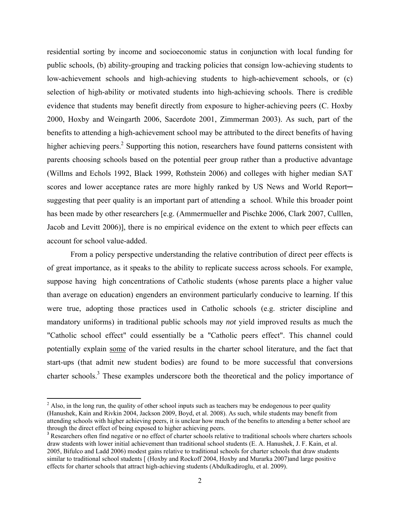residential sorting by income and socioeconomic status in conjunction with local funding for public schools, (b) ability-grouping and tracking policies that consign low-achieving students to low-achievement schools and high-achieving students to high-achievement schools, or (c) selection of high-ability or motivated students into high-achieving schools. There is credible evidence that students may benefit directly from exposure to higher-achieving peers (C. Hoxby 2000, Hoxby and Weingarth 2006, Sacerdote 2001, Zimmerman 2003). As such, part of the benefits to attending a high-achievement school may be attributed to the direct benefits of having higher achieving peers.<sup>2</sup> Supporting this notion, researchers have found patterns consistent with parents choosing schools based on the potential peer group rather than a productive advantage (Willms and Echols 1992, Black 1999, Rothstein 2006) and colleges with higher median SAT scores and lower acceptance rates are more highly ranked by US News and World Report suggesting that peer quality is an important part of attending a school. While this broader point has been made by other researchers [e.g. (Ammermueller and Pischke 2006, Clark 2007, Culllen, Jacob and Levitt 2006)], there is no empirical evidence on the extent to which peer effects can account for school value-added.

 From a policy perspective understanding the relative contribution of direct peer effects is of great importance, as it speaks to the ability to replicate success across schools. For example, suppose having high concentrations of Catholic students (whose parents place a higher value than average on education) engenders an environment particularly conducive to learning. If this were true, adopting those practices used in Catholic schools (e.g. stricter discipline and mandatory uniforms) in traditional public schools may *not* yield improved results as much the "Catholic school effect" could essentially be a "Catholic peers effect". This channel could potentially explain some of the varied results in the charter school literature, and the fact that start-ups (that admit new student bodies) are found to be more successful that conversions charter schools.<sup>3</sup> These examples underscore both the theoretical and the policy importance of

 $2$  Also, in the long run, the quality of other school inputs such as teachers may be endogenous to peer quality (Hanushek, Kain and Rivkin 2004, Jackson 2009, Boyd, et al. 2008). As such, while students may benefit from attending schools with higher achieving peers, it is unclear how much of the benefits to attending a better school are through the direct effect of being exposed to higher achieving peers.

<sup>&</sup>lt;sup>3</sup> Researchers often find negative or no effect of charter schools relative to traditional schools where charters schools draw students with lower initial achievement than traditional school students (E. A. Hanushek, J. F. Kain, et al. 2005, Bifulco and Ladd 2006) modest gains relative to traditional schools for charter schools that draw students similar to traditional school students [ (Hoxby and Rockoff 2004, Hoxby and Murarka 2007)and large positive effects for charter schools that attract high-achieving students (Abdulkadiroglu, et al. 2009).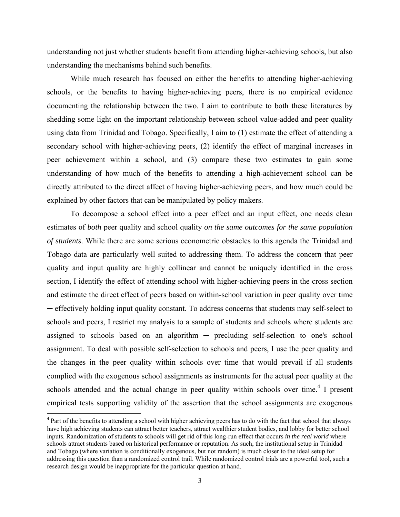understanding not just whether students benefit from attending higher-achieving schools, but also understanding the mechanisms behind such benefits.

 While much research has focused on either the benefits to attending higher-achieving schools, or the benefits to having higher-achieving peers, there is no empirical evidence documenting the relationship between the two. I aim to contribute to both these literatures by shedding some light on the important relationship between school value-added and peer quality using data from Trinidad and Tobago. Specifically, I aim to (1) estimate the effect of attending a secondary school with higher-achieving peers, (2) identify the effect of marginal increases in peer achievement within a school, and (3) compare these two estimates to gain some understanding of how much of the benefits to attending a high-achievement school can be directly attributed to the direct affect of having higher-achieving peers, and how much could be explained by other factors that can be manipulated by policy makers.

 To decompose a school effect into a peer effect and an input effect, one needs clean estimates of *both* peer quality and school quality *on the same outcomes for the same population of students*. While there are some serious econometric obstacles to this agenda the Trinidad and Tobago data are particularly well suited to addressing them. To address the concern that peer quality and input quality are highly collinear and cannot be uniquely identified in the cross section, I identify the effect of attending school with higher-achieving peers in the cross section and estimate the direct effect of peers based on within-school variation in peer quality over time ─ effectively holding input quality constant. To address concerns that students may self-select to schools and peers, I restrict my analysis to a sample of students and schools where students are assigned to schools based on an algorithm ─ precluding self-selection to one's school assignment. To deal with possible self-selection to schools and peers, I use the peer quality and the changes in the peer quality within schools over time that would prevail if all students complied with the exogenous school assignments as instruments for the actual peer quality at the schools attended and the actual change in peer quality within schools over time.<sup>4</sup> I present empirical tests supporting validity of the assertion that the school assignments are exogenous

<sup>&</sup>lt;sup>4</sup> Part of the benefits to attending a school with higher achieving peers has to do with the fact that school that always have high achieving students can attract better teachers, attract wealthier student bodies, and lobby for better school inputs. Randomization of students to schools will get rid of this long-run effect that occurs *in the real world* where schools attract students based on historical performance or reputation. As such, the institutional setup in Trinidad and Tobago (where variation is conditionally exogenous, but not random) is much closer to the ideal setup for addressing this question than a randomized control trail. While randomized control trials are a powerful tool, such a research design would be inappropriate for the particular question at hand.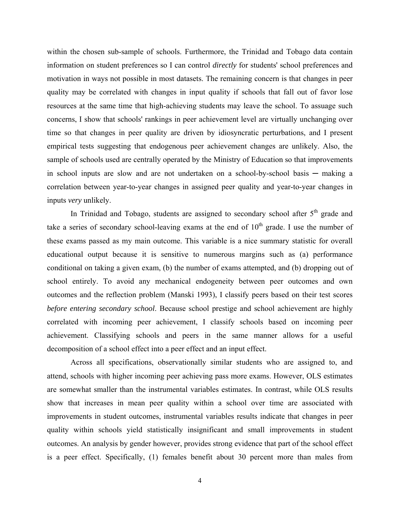within the chosen sub-sample of schools. Furthermore, the Trinidad and Tobago data contain information on student preferences so I can control *directly* for students' school preferences and motivation in ways not possible in most datasets. The remaining concern is that changes in peer quality may be correlated with changes in input quality if schools that fall out of favor lose resources at the same time that high-achieving students may leave the school. To assuage such concerns, I show that schools' rankings in peer achievement level are virtually unchanging over time so that changes in peer quality are driven by idiosyncratic perturbations, and I present empirical tests suggesting that endogenous peer achievement changes are unlikely. Also, the sample of schools used are centrally operated by the Ministry of Education so that improvements in school inputs are slow and are not undertaken on a school-by-school basis — making a correlation between year-to-year changes in assigned peer quality and year-to-year changes in inputs *very* unlikely.

In Trinidad and Tobago, students are assigned to secondary school after  $5<sup>th</sup>$  grade and take a series of secondary school-leaving exams at the end of  $10<sup>th</sup>$  grade. I use the number of these exams passed as my main outcome. This variable is a nice summary statistic for overall educational output because it is sensitive to numerous margins such as (a) performance conditional on taking a given exam, (b) the number of exams attempted, and (b) dropping out of school entirely. To avoid any mechanical endogeneity between peer outcomes and own outcomes and the reflection problem (Manski 1993), I classify peers based on their test scores *before entering secondary school*. Because school prestige and school achievement are highly correlated with incoming peer achievement, I classify schools based on incoming peer achievement. Classifying schools and peers in the same manner allows for a useful decomposition of a school effect into a peer effect and an input effect.

 Across all specifications, observationally similar students who are assigned to, and attend, schools with higher incoming peer achieving pass more exams. However, OLS estimates are somewhat smaller than the instrumental variables estimates. In contrast, while OLS results show that increases in mean peer quality within a school over time are associated with improvements in student outcomes, instrumental variables results indicate that changes in peer quality within schools yield statistically insignificant and small improvements in student outcomes. An analysis by gender however, provides strong evidence that part of the school effect is a peer effect. Specifically, (1) females benefit about 30 percent more than males from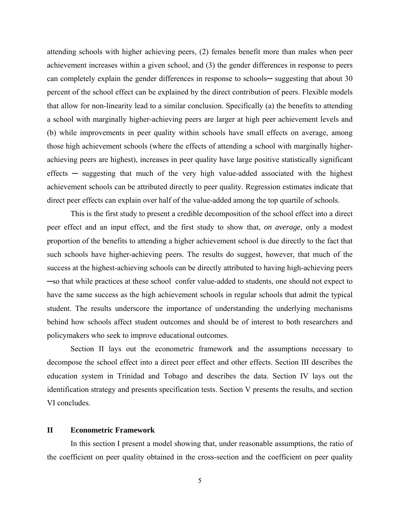attending schools with higher achieving peers, (2) females benefit more than males when peer achievement increases within a given school, and (3) the gender differences in response to peers can completely explain the gender differences in response to schools— suggesting that about 30 percent of the school effect can be explained by the direct contribution of peers. Flexible models that allow for non-linearity lead to a similar conclusion. Specifically (a) the benefits to attending a school with marginally higher-achieving peers are larger at high peer achievement levels and (b) while improvements in peer quality within schools have small effects on average, among those high achievement schools (where the effects of attending a school with marginally higherachieving peers are highest), increases in peer quality have large positive statistically significant effects  $-$  suggesting that much of the very high value-added associated with the highest achievement schools can be attributed directly to peer quality. Regression estimates indicate that direct peer effects can explain over half of the value-added among the top quartile of schools.

 This is the first study to present a credible decomposition of the school effect into a direct peer effect and an input effect, and the first study to show that, *on average*, only a modest proportion of the benefits to attending a higher achievement school is due directly to the fact that such schools have higher-achieving peers. The results do suggest, however, that much of the success at the highest-achieving schools can be directly attributed to having high-achieving peers ─so that while practices at these school confer value-added to students, one should not expect to have the same success as the high achievement schools in regular schools that admit the typical student. The results underscore the importance of understanding the underlying mechanisms behind how schools affect student outcomes and should be of interest to both researchers and policymakers who seek to improve educational outcomes.

 Section II lays out the econometric framework and the assumptions necessary to decompose the school effect into a direct peer effect and other effects. Section III describes the education system in Trinidad and Tobago and describes the data. Section IV lays out the identification strategy and presents specification tests. Section V presents the results, and section VI concludes.

#### **II Econometric Framework**

 In this section I present a model showing that, under reasonable assumptions, the ratio of the coefficient on peer quality obtained in the cross-section and the coefficient on peer quality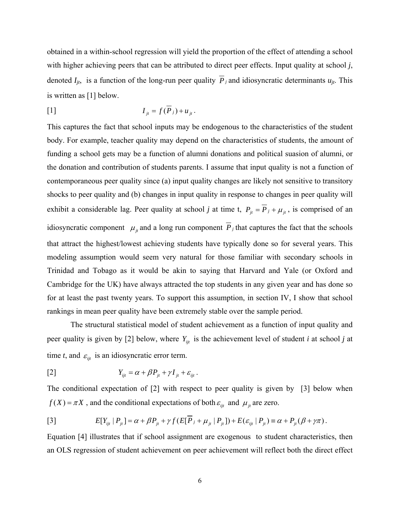obtained in a within-school regression will yield the proportion of the effect of attending a school with higher achieving peers that can be attributed to direct peer effects. Input quality at school *j*, denoted  $I_{jt}$ , is a function of the long-run peer quality  $\overline{P}_j$  and idiosyncratic determinants  $u_{jt}$ . This is written as [1] below.

$$
I_{jt} = f(P_j) + u_{jt}.
$$

This captures the fact that school inputs may be endogenous to the characteristics of the student body. For example, teacher quality may depend on the characteristics of students, the amount of funding a school gets may be a function of alumni donations and political suasion of alumni, or the donation and contribution of students parents. I assume that input quality is not a function of contemporaneous peer quality since (a) input quality changes are likely not sensitive to transitory shocks to peer quality and (b) changes in input quality in response to changes in peer quality will exhibit a considerable lag. Peer quality at school *j* at time t,  $P_{jt} = \overline{P}_j + \mu_{jt}$ , is comprised of an idiosyncratic component  $\mu_{ji}$  and a long run component  $\overline{P}_j$  that captures the fact that the schools that attract the highest/lowest achieving students have typically done so for several years. This modeling assumption would seem very natural for those familiar with secondary schools in Trinidad and Tobago as it would be akin to saying that Harvard and Yale (or Oxford and Cambridge for the UK) have always attracted the top students in any given year and has done so for at least the past twenty years. To support this assumption, in section IV, I show that school rankings in mean peer quality have been extremely stable over the sample period.

 The structural statistical model of student achievement as a function of input quality and peer quality is given by [2] below, where  $Y_{ijt}$  is the achievement level of student *i* at school *j* at time *t*, and  $\varepsilon_{ijt}$  is an idiosyncratic error term.

$$
Y_{ijt} = \alpha + \beta P_{jt} + \gamma I_{jt} + \varepsilon_{ijt}.
$$

The conditional expectation of [2] with respect to peer quality is given by [3] below when  $f(X) = \pi X$ , and the conditional expectations of both  $\varepsilon_{ijt}$  and  $\mu_{jt}$  are zero.

[3] 
$$
E[Y_{ijt} | P_{jt}] = \alpha + \beta P_{jt} + \gamma f(E[\overline{P}_j + \mu_{jt} | P_{jt}]) + E(\varepsilon_{ijt} | P_{jt}) \equiv \alpha + P_{jt}(\beta + \gamma \pi).
$$

Equation [4] illustrates that if school assignment are exogenous to student characteristics, then an OLS regression of student achievement on peer achievement will reflect both the direct effect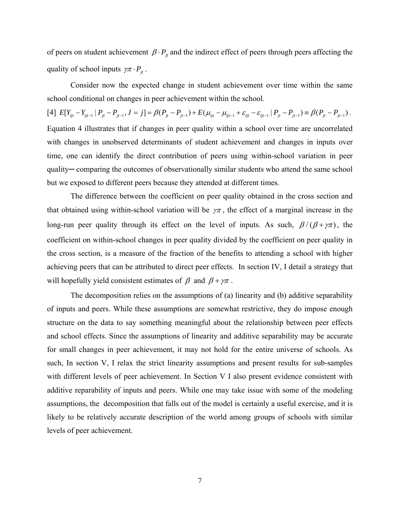of peers on student achievement  $\beta \cdot P_{i}$  and the indirect effect of peers through peers affecting the quality of school inputs  $\gamma \pi \cdot P_{it}$ .

 Consider now the expected change in student achievement over time within the same school conditional on changes in peer achievement within the school.

 $\label{eq:2.1} \left[ 4 \right] \ E[Y_{ijt}-Y_{ijt-1}\mid P_{jt}-P_{jt-1}, J=j] = \beta (P_{jt}-P_{jt-1}) + E \big( \mu_{ijt} - \mu_{ijt-1} + \varepsilon_{ijt} - \varepsilon_{ijt-1} \mid P_{jt}-P_{jt-1} \big) = \beta (P_{jt}-P_{jt-1}) \ .$ Equation 4 illustrates that if changes in peer quality within a school over time are uncorrelated with changes in unobserved determinants of student achievement and changes in inputs over time, one can identify the direct contribution of peers using within-school variation in peer quality─ comparing the outcomes of observationally similar students who attend the same school but we exposed to different peers because they attended at different times.

 The difference between the coefficient on peer quality obtained in the cross section and that obtained using within-school variation will be  $\gamma \pi$ , the effect of a marginal increase in the long-run peer quality through its effect on the level of inputs. As such,  $\beta/(\beta + \gamma \pi)$ , the coefficient on within-school changes in peer quality divided by the coefficient on peer quality in the cross section, is a measure of the fraction of the benefits to attending a school with higher achieving peers that can be attributed to direct peer effects. In section IV, I detail a strategy that will hopefully yield consistent estimates of  $\beta$  and  $\beta + \gamma \pi$ .

 The decomposition relies on the assumptions of (a) linearity and (b) additive separability of inputs and peers. While these assumptions are somewhat restrictive, they do impose enough structure on the data to say something meaningful about the relationship between peer effects and school effects. Since the assumptions of linearity and additive separability may be accurate for small changes in peer achievement, it may not hold for the entire universe of schools. As such, In section V, I relax the strict linearity assumptions and present results for sub-samples with different levels of peer achievement. In Section V I also present evidence consistent with additive reparability of inputs and peers. While one may take issue with some of the modeling assumptions, the decomposition that falls out of the model is certainly a useful exercise, and it is likely to be relatively accurate description of the world among groups of schools with similar levels of peer achievement.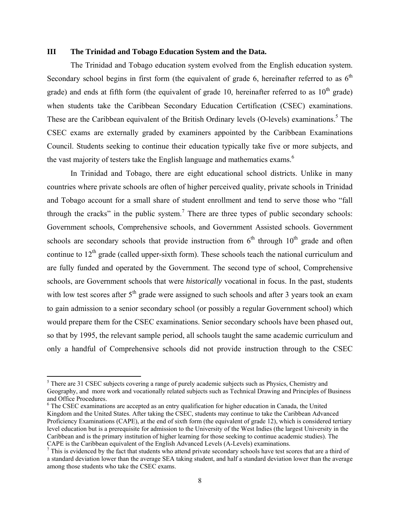### **III The Trinidad and Tobago Education System and the Data.**

The Trinidad and Tobago education system evolved from the English education system. Secondary school begins in first form (the equivalent of grade 6, hereinafter referred to as  $6<sup>th</sup>$ grade) and ends at fifth form (the equivalent of grade 10, hereinafter referred to as  $10<sup>th</sup>$  grade) when students take the Caribbean Secondary Education Certification (CSEC) examinations. These are the Caribbean equivalent of the British Ordinary levels (O-levels) examinations.<sup>5</sup> The CSEC exams are externally graded by examiners appointed by the Caribbean Examinations Council. Students seeking to continue their education typically take five or more subjects, and the vast majority of testers take the English language and mathematics exams.<sup>6</sup>

In Trinidad and Tobago, there are eight educational school districts. Unlike in many countries where private schools are often of higher perceived quality, private schools in Trinidad and Tobago account for a small share of student enrollment and tend to serve those who "fall through the cracks" in the public system.<sup>7</sup> There are three types of public secondary schools: Government schools, Comprehensive schools, and Government Assisted schools. Government schools are secondary schools that provide instruction from  $6<sup>th</sup>$  through  $10<sup>th</sup>$  grade and often continue to  $12<sup>th</sup>$  grade (called upper-sixth form). These schools teach the national curriculum and are fully funded and operated by the Government. The second type of school, Comprehensive schools, are Government schools that were *historically* vocational in focus. In the past, students with low test scores after  $5<sup>th</sup>$  grade were assigned to such schools and after 3 years took an exam to gain admission to a senior secondary school (or possibly a regular Government school) which would prepare them for the CSEC examinations. Senior secondary schools have been phased out, so that by 1995, the relevant sample period, all schools taught the same academic curriculum and only a handful of Comprehensive schools did not provide instruction through to the CSEC

<sup>&</sup>lt;sup>5</sup> There are 31 CSEC subjects covering a range of purely academic subjects such as Physics, Chemistry and Geography, and more work and vocationally related subjects such as Technical Drawing and Principles of Business and Office Procedures.

<sup>&</sup>lt;sup>6</sup> The CSEC examinations are accepted as an entry qualification for higher education in Canada, the United Kingdom and the United States. After taking the CSEC, students may continue to take the Caribbean Advanced Proficiency Examinations (CAPE), at the end of sixth form (the equivalent of grade 12), which is considered tertiary level education but is a prerequisite for admission to the University of the West Indies (the largest University in the Caribbean and is the primary institution of higher learning for those seeking to continue academic studies). The CAPE is the Caribbean equivalent of the English Advanced Levels (A-Levels) examinations.

 $<sup>7</sup>$  This is evidenced by the fact that students who attend private secondary schools have test scores that are a third of</sup> a standard deviation lower than the average SEA taking student, and half a standard deviation lower than the average among those students who take the CSEC exams.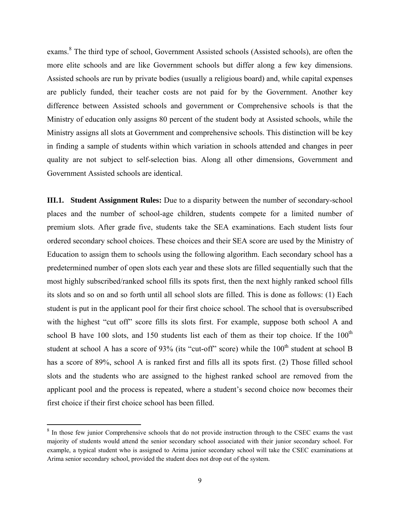exams.<sup>8</sup> The third type of school, Government Assisted schools (Assisted schools), are often the more elite schools and are like Government schools but differ along a few key dimensions. Assisted schools are run by private bodies (usually a religious board) and, while capital expenses are publicly funded, their teacher costs are not paid for by the Government. Another key difference between Assisted schools and government or Comprehensive schools is that the Ministry of education only assigns 80 percent of the student body at Assisted schools, while the Ministry assigns all slots at Government and comprehensive schools. This distinction will be key in finding a sample of students within which variation in schools attended and changes in peer quality are not subject to self-selection bias. Along all other dimensions, Government and Government Assisted schools are identical.

**III.1.** Student Assignment Rules: Due to a disparity between the number of secondary-school places and the number of school-age children, students compete for a limited number of premium slots. After grade five, students take the SEA examinations. Each student lists four ordered secondary school choices. These choices and their SEA score are used by the Ministry of Education to assign them to schools using the following algorithm. Each secondary school has a predetermined number of open slots each year and these slots are filled sequentially such that the most highly subscribed/ranked school fills its spots first, then the next highly ranked school fills its slots and so on and so forth until all school slots are filled. This is done as follows: (1) Each student is put in the applicant pool for their first choice school. The school that is oversubscribed with the highest "cut off" score fills its slots first. For example, suppose both school A and school B have 100 slots, and 150 students list each of them as their top choice. If the  $100<sup>th</sup>$ student at school A has a score of 93% (its "cut-off" score) while the 100<sup>th</sup> student at school B has a score of 89%, school A is ranked first and fills all its spots first. (2) Those filled school slots and the students who are assigned to the highest ranked school are removed from the applicant pool and the process is repeated, where a student's second choice now becomes their first choice if their first choice school has been filled.

<sup>&</sup>lt;sup>8</sup> In those few junior Comprehensive schools that do not provide instruction through to the CSEC exams the vast majority of students would attend the senior secondary school associated with their junior secondary school. For example, a typical student who is assigned to Arima junior secondary school will take the CSEC examinations at Arima senior secondary school, provided the student does not drop out of the system.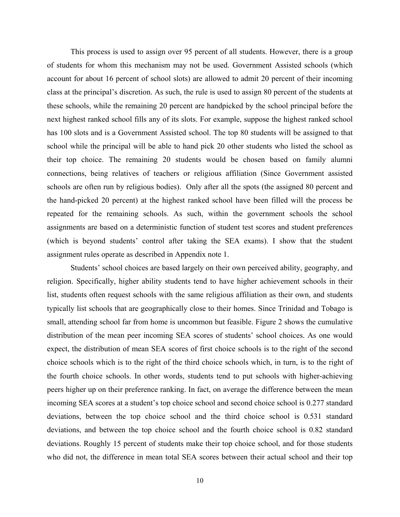This process is used to assign over 95 percent of all students. However, there is a group of students for whom this mechanism may not be used. Government Assisted schools (which account for about 16 percent of school slots) are allowed to admit 20 percent of their incoming class at the principal's discretion. As such, the rule is used to assign 80 percent of the students at these schools, while the remaining 20 percent are handpicked by the school principal before the next highest ranked school fills any of its slots. For example, suppose the highest ranked school has 100 slots and is a Government Assisted school. The top 80 students will be assigned to that school while the principal will be able to hand pick 20 other students who listed the school as their top choice. The remaining 20 students would be chosen based on family alumni connections, being relatives of teachers or religious affiliation (Since Government assisted schools are often run by religious bodies). Only after all the spots (the assigned 80 percent and the hand-picked 20 percent) at the highest ranked school have been filled will the process be repeated for the remaining schools. As such, within the government schools the school assignments are based on a deterministic function of student test scores and student preferences (which is beyond students' control after taking the SEA exams). I show that the student assignment rules operate as described in Appendix note 1.

Students' school choices are based largely on their own perceived ability, geography, and religion. Specifically, higher ability students tend to have higher achievement schools in their list, students often request schools with the same religious affiliation as their own, and students typically list schools that are geographically close to their homes. Since Trinidad and Tobago is small, attending school far from home is uncommon but feasible. Figure 2 shows the cumulative distribution of the mean peer incoming SEA scores of students' school choices. As one would expect, the distribution of mean SEA scores of first choice schools is to the right of the second choice schools which is to the right of the third choice schools which, in turn, is to the right of the fourth choice schools. In other words, students tend to put schools with higher-achieving peers higher up on their preference ranking. In fact, on average the difference between the mean incoming SEA scores at a student's top choice school and second choice school is 0.277 standard deviations, between the top choice school and the third choice school is 0.531 standard deviations, and between the top choice school and the fourth choice school is 0.82 standard deviations. Roughly 15 percent of students make their top choice school, and for those students who did not, the difference in mean total SEA scores between their actual school and their top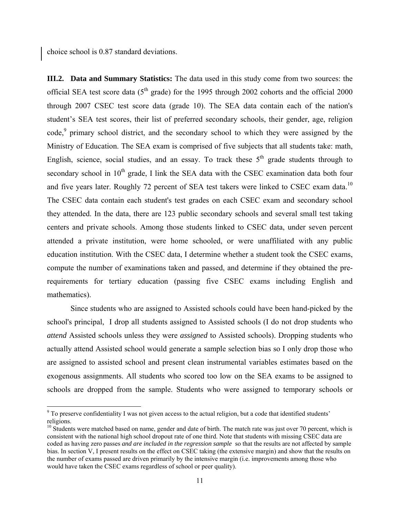choice school is 0.87 standard deviations.

**III.2. Data and Summary Statistics:** The data used in this study come from two sources: the official SEA test score data ( $5<sup>th</sup>$  grade) for the 1995 through 2002 cohorts and the official 2000 through 2007 CSEC test score data (grade 10). The SEA data contain each of the nation's student's SEA test scores, their list of preferred secondary schools, their gender, age, religion  $code<sub>1</sub>$ <sup>9</sup> primary school district, and the secondary school to which they were assigned by the Ministry of Education. The SEA exam is comprised of five subjects that all students take: math, English, science, social studies, and an essay. To track these  $5<sup>th</sup>$  grade students through to secondary school in  $10<sup>th</sup>$  grade, I link the SEA data with the CSEC examination data both four and five years later. Roughly 72 percent of SEA test takers were linked to CSEC exam data.<sup>10</sup> The CSEC data contain each student's test grades on each CSEC exam and secondary school they attended. In the data, there are 123 public secondary schools and several small test taking centers and private schools. Among those students linked to CSEC data, under seven percent attended a private institution, were home schooled, or were unaffiliated with any public education institution. With the CSEC data, I determine whether a student took the CSEC exams, compute the number of examinations taken and passed, and determine if they obtained the prerequirements for tertiary education (passing five CSEC exams including English and mathematics).

Since students who are assigned to Assisted schools could have been hand-picked by the school's principal, I drop all students assigned to Assisted schools (I do not drop students who *attend* Assisted schools unless they were *assigned* to Assisted schools). Dropping students who actually attend Assisted school would generate a sample selection bias so I only drop those who are assigned to assisted school and present clean instrumental variables estimates based on the exogenous assignments. All students who scored too low on the SEA exams to be assigned to schools are dropped from the sample. Students who were assigned to temporary schools or

 $9^9$  To preserve confidentiality I was not given access to the actual religion, but a code that identified students' religions.

 $10$  Students were matched based on name, gender and date of birth. The match rate was just over 70 percent, which is consistent with the national high school dropout rate of one third. Note that students with missing CSEC data are coded as having zero passes *and are included in the regression sample* so that the results are not affected by sample bias. In section V, I present results on the effect on CSEC taking (the extensive margin) and show that the results on the number of exams passed are driven primarily by the intensive margin (i.e. improvements among those who would have taken the CSEC exams regardless of school or peer quality).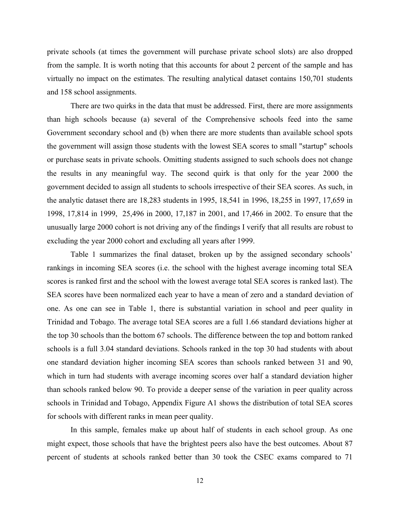private schools (at times the government will purchase private school slots) are also dropped from the sample. It is worth noting that this accounts for about 2 percent of the sample and has virtually no impact on the estimates. The resulting analytical dataset contains 150,701 students and 158 school assignments.

There are two quirks in the data that must be addressed. First, there are more assignments than high schools because (a) several of the Comprehensive schools feed into the same Government secondary school and (b) when there are more students than available school spots the government will assign those students with the lowest SEA scores to small "startup" schools or purchase seats in private schools. Omitting students assigned to such schools does not change the results in any meaningful way. The second quirk is that only for the year 2000 the government decided to assign all students to schools irrespective of their SEA scores. As such, in the analytic dataset there are 18,283 students in 1995, 18,541 in 1996, 18,255 in 1997, 17,659 in 1998, 17,814 in 1999, 25,496 in 2000, 17,187 in 2001, and 17,466 in 2002. To ensure that the unusually large 2000 cohort is not driving any of the findings I verify that all results are robust to excluding the year 2000 cohort and excluding all years after 1999.

Table 1 summarizes the final dataset, broken up by the assigned secondary schools' rankings in incoming SEA scores (i.e. the school with the highest average incoming total SEA scores is ranked first and the school with the lowest average total SEA scores is ranked last). The SEA scores have been normalized each year to have a mean of zero and a standard deviation of one. As one can see in Table 1, there is substantial variation in school and peer quality in Trinidad and Tobago. The average total SEA scores are a full 1.66 standard deviations higher at the top 30 schools than the bottom 67 schools. The difference between the top and bottom ranked schools is a full 3.04 standard deviations. Schools ranked in the top 30 had students with about one standard deviation higher incoming SEA scores than schools ranked between 31 and 90, which in turn had students with average incoming scores over half a standard deviation higher than schools ranked below 90. To provide a deeper sense of the variation in peer quality across schools in Trinidad and Tobago, Appendix Figure A1 shows the distribution of total SEA scores for schools with different ranks in mean peer quality.

In this sample, females make up about half of students in each school group. As one might expect, those schools that have the brightest peers also have the best outcomes. About 87 percent of students at schools ranked better than 30 took the CSEC exams compared to 71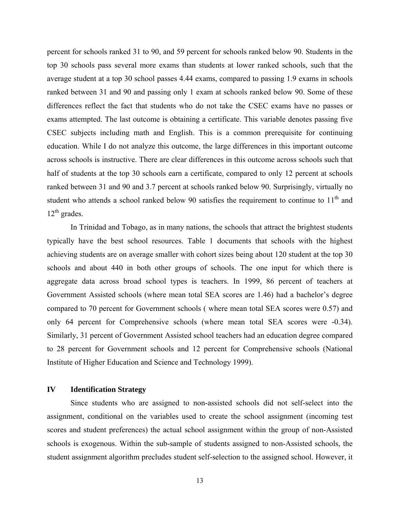percent for schools ranked 31 to 90, and 59 percent for schools ranked below 90. Students in the top 30 schools pass several more exams than students at lower ranked schools, such that the average student at a top 30 school passes 4.44 exams, compared to passing 1.9 exams in schools ranked between 31 and 90 and passing only 1 exam at schools ranked below 90. Some of these differences reflect the fact that students who do not take the CSEC exams have no passes or exams attempted. The last outcome is obtaining a certificate. This variable denotes passing five CSEC subjects including math and English. This is a common prerequisite for continuing education. While I do not analyze this outcome, the large differences in this important outcome across schools is instructive. There are clear differences in this outcome across schools such that half of students at the top 30 schools earn a certificate, compared to only 12 percent at schools ranked between 31 and 90 and 3.7 percent at schools ranked below 90. Surprisingly, virtually no student who attends a school ranked below 90 satisfies the requirement to continue to  $11<sup>th</sup>$  and  $12^{th}$  grades.

In Trinidad and Tobago, as in many nations, the schools that attract the brightest students typically have the best school resources. Table 1 documents that schools with the highest achieving students are on average smaller with cohort sizes being about 120 student at the top 30 schools and about 440 in both other groups of schools. The one input for which there is aggregate data across broad school types is teachers. In 1999, 86 percent of teachers at Government Assisted schools (where mean total SEA scores are 1.46) had a bachelor's degree compared to 70 percent for Government schools ( where mean total SEA scores were 0.57) and only 64 percent for Comprehensive schools (where mean total SEA scores were -0.34). Similarly, 31 percent of Government Assisted school teachers had an education degree compared to 28 percent for Government schools and 12 percent for Comprehensive schools (National Institute of Higher Education and Science and Technology 1999).

### **IV Identification Strategy**

Since students who are assigned to non-assisted schools did not self-select into the assignment, conditional on the variables used to create the school assignment (incoming test scores and student preferences) the actual school assignment within the group of non-Assisted schools is exogenous. Within the sub-sample of students assigned to non-Assisted schools, the student assignment algorithm precludes student self-selection to the assigned school. However, it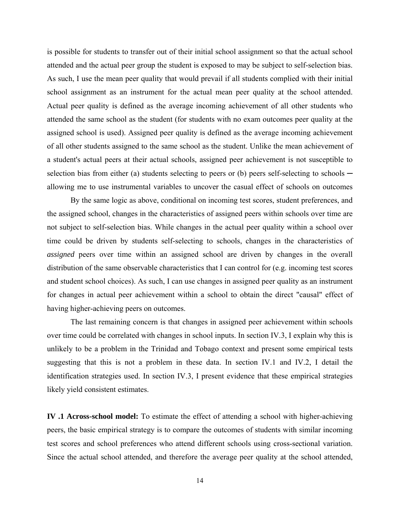is possible for students to transfer out of their initial school assignment so that the actual school attended and the actual peer group the student is exposed to may be subject to self-selection bias. As such, I use the mean peer quality that would prevail if all students complied with their initial school assignment as an instrument for the actual mean peer quality at the school attended. Actual peer quality is defined as the average incoming achievement of all other students who attended the same school as the student (for students with no exam outcomes peer quality at the assigned school is used). Assigned peer quality is defined as the average incoming achievement of all other students assigned to the same school as the student. Unlike the mean achievement of a student's actual peers at their actual schools, assigned peer achievement is not susceptible to selection bias from either (a) students selecting to peers or (b) peers self-selecting to schools  $$ allowing me to use instrumental variables to uncover the casual effect of schools on outcomes

 By the same logic as above, conditional on incoming test scores, student preferences, and the assigned school, changes in the characteristics of assigned peers within schools over time are not subject to self-selection bias. While changes in the actual peer quality within a school over time could be driven by students self-selecting to schools, changes in the characteristics of *assigned* peers over time within an assigned school are driven by changes in the overall distribution of the same observable characteristics that I can control for (e.g. incoming test scores and student school choices). As such, I can use changes in assigned peer quality as an instrument for changes in actual peer achievement within a school to obtain the direct "causal" effect of having higher-achieving peers on outcomes.

 The last remaining concern is that changes in assigned peer achievement within schools over time could be correlated with changes in school inputs. In section IV.3, I explain why this is unlikely to be a problem in the Trinidad and Tobago context and present some empirical tests suggesting that this is not a problem in these data. In section IV.1 and IV.2, I detail the identification strategies used. In section IV.3, I present evidence that these empirical strategies likely yield consistent estimates.

**IV .1 Across-school model:** To estimate the effect of attending a school with higher-achieving peers, the basic empirical strategy is to compare the outcomes of students with similar incoming test scores and school preferences who attend different schools using cross-sectional variation. Since the actual school attended, and therefore the average peer quality at the school attended,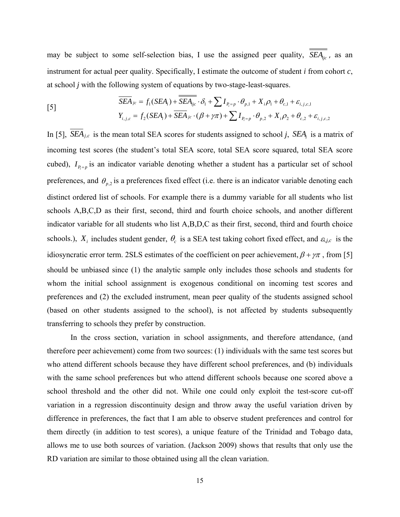may be subject to some self-selection bias, I use the assigned peer quality,  $\overline{SEA_{ijc}}$ , as an instrument for actual peer quality. Specifically, I estimate the outcome of student *i* from cohort *c*, at school *j* with the following system of equations by two-stage-least-squares.

$$
\overline{SEA}_{jc} = f_1(SEA_i) + \overline{SEA}_{ijc} \cdot \delta_1 + \sum I_{P_i = p} \cdot \theta_{p,1} + X_i \rho_1 + \theta_{c,1} + \varepsilon_{i,j,c,1}
$$
\n
$$
Y_{i,j,c} = f_2(SEA_i) + \overline{SEA}_{jc} \cdot (\beta + \gamma \pi) + \sum I_{P_i = p} \cdot \theta_{p,2} + X_i \rho_2 + \theta_{c,2} + \varepsilon_{i,j,c,2}
$$

In [5],  $\overline{SEA}_{j,c}$  is the mean total SEA scores for students assigned to school *j*,  $\overline{SEA}_i$  is a matrix of incoming test scores (the student's total SEA score, total SEA score squared, total SEA score cubed),  $I_{p=p}$  is an indicator variable denoting whether a student has a particular set of school preferences, and  $\theta_{p,2}$  is a preferences fixed effect (i.e. there is an indicator variable denoting each distinct ordered list of schools. For example there is a dummy variable for all students who list schools A,B,C,D as their first, second, third and fourth choice schools, and another different indicator variable for all students who list A,B,D,C as their first, second, third and fourth choice schools.),  $X_i$  includes student gender,  $\theta_c$  is a SEA test taking cohort fixed effect, and  $\varepsilon_{i,j,c}$  is the idiosyncratic error term. 2SLS estimates of the coefficient on peer achievement,  $\beta + \gamma \pi$ , from [5] should be unbiased since (1) the analytic sample only includes those schools and students for whom the initial school assignment is exogenous conditional on incoming test scores and preferences and (2) the excluded instrument, mean peer quality of the students assigned school (based on other students assigned to the school), is not affected by students subsequently transferring to schools they prefer by construction.

In the cross section, variation in school assignments, and therefore attendance, (and therefore peer achievement) come from two sources: (1) individuals with the same test scores but who attend different schools because they have different school preferences, and (b) individuals with the same school preferences but who attend different schools because one scored above a school threshold and the other did not. While one could only exploit the test-score cut-off variation in a regression discontinuity design and throw away the useful variation driven by difference in preferences, the fact that I am able to observe student preferences and control for them directly (in addition to test scores), a unique feature of the Trinidad and Tobago data, allows me to use both sources of variation. (Jackson 2009) shows that results that only use the RD variation are similar to those obtained using all the clean variation.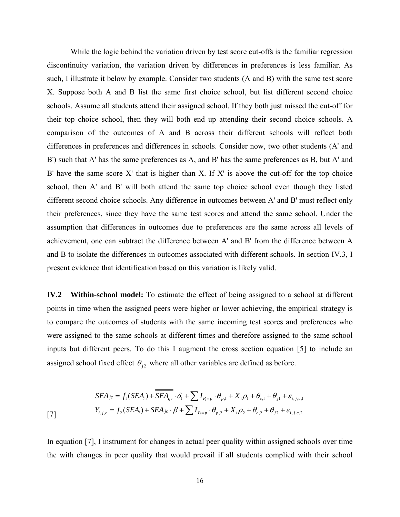While the logic behind the variation driven by test score cut-offs is the familiar regression discontinuity variation, the variation driven by differences in preferences is less familiar. As such, I illustrate it below by example. Consider two students (A and B) with the same test score X. Suppose both A and B list the same first choice school, but list different second choice schools. Assume all students attend their assigned school. If they both just missed the cut-off for their top choice school, then they will both end up attending their second choice schools. A comparison of the outcomes of A and B across their different schools will reflect both differences in preferences and differences in schools. Consider now, two other students (A' and B') such that A' has the same preferences as A, and B' has the same preferences as B, but A' and B' have the same score  $X'$  that is higher than  $X$ . If  $X'$  is above the cut-off for the top choice school, then A' and B' will both attend the same top choice school even though they listed different second choice schools. Any difference in outcomes between A' and B' must reflect only their preferences, since they have the same test scores and attend the same school. Under the assumption that differences in outcomes due to preferences are the same across all levels of achievement, one can subtract the difference between A' and B' from the difference between A and B to isolate the differences in outcomes associated with different schools. In section IV.3, I present evidence that identification based on this variation is likely valid.

**IV.2 Within-school model:** To estimate the effect of being assigned to a school at different points in time when the assigned peers were higher or lower achieving, the empirical strategy is to compare the outcomes of students with the same incoming test scores and preferences who were assigned to the same schools at different times and therefore assigned to the same school inputs but different peers. To do this I augment the cross section equation [5] to include an assigned school fixed effect  $\theta_{i2}$  where all other variables are defined as before.

$$
\overline{SEA}_{jc} = f_1(SEA_i) + \overline{SEA}_{ijc} \cdot \delta_1 + \sum I_{P_i = p} \cdot \theta_{p,1} + X_i \rho_1 + \theta_{c,1} + \theta_{j1} + \varepsilon_{i,j,c,1}
$$
  
\n
$$
Y_{i,j,c} = f_2(SEA_i) + \overline{SEA}_{jc} \cdot \beta + \sum I_{P_i = p} \cdot \theta_{p,2} + X_i \rho_2 + \theta_{c,2} + \theta_{j2} + \varepsilon_{i,j,c,2}
$$

In equation [7], I instrument for changes in actual peer quality within assigned schools over time the with changes in peer quality that would prevail if all students complied with their school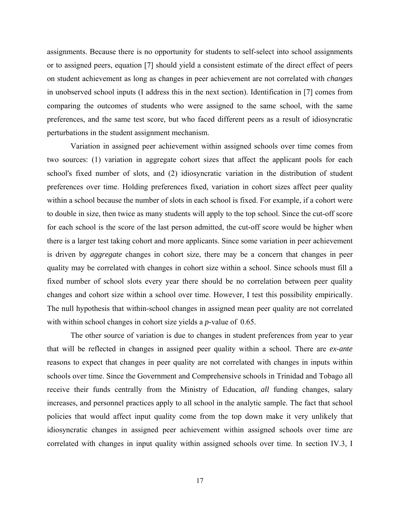assignments. Because there is no opportunity for students to self-select into school assignments or to assigned peers, equation [7] should yield a consistent estimate of the direct effect of peers on student achievement as long as changes in peer achievement are not correlated with *changes* in unobserved school inputs (I address this in the next section). Identification in [7] comes from comparing the outcomes of students who were assigned to the same school, with the same preferences, and the same test score, but who faced different peers as a result of idiosyncratic perturbations in the student assignment mechanism.

Variation in assigned peer achievement within assigned schools over time comes from two sources: (1) variation in aggregate cohort sizes that affect the applicant pools for each school's fixed number of slots, and (2) idiosyncratic variation in the distribution of student preferences over time. Holding preferences fixed, variation in cohort sizes affect peer quality within a school because the number of slots in each school is fixed. For example, if a cohort were to double in size, then twice as many students will apply to the top school. Since the cut-off score for each school is the score of the last person admitted, the cut-off score would be higher when there is a larger test taking cohort and more applicants. Since some variation in peer achievement is driven by *aggregate* changes in cohort size, there may be a concern that changes in peer quality may be correlated with changes in cohort size within a school. Since schools must fill a fixed number of school slots every year there should be no correlation between peer quality changes and cohort size within a school over time. However, I test this possibility empirically. The null hypothesis that within-school changes in assigned mean peer quality are not correlated with within school changes in cohort size yields a *p*-value of 0.65.

The other source of variation is due to changes in student preferences from year to year that will be reflected in changes in assigned peer quality within a school. There are *ex-ante* reasons to expect that changes in peer quality are not correlated with changes in inputs within schools over time. Since the Government and Comprehensive schools in Trinidad and Tobago all receive their funds centrally from the Ministry of Education, *all* funding changes, salary increases, and personnel practices apply to all school in the analytic sample. The fact that school policies that would affect input quality come from the top down make it very unlikely that idiosyncratic changes in assigned peer achievement within assigned schools over time are correlated with changes in input quality within assigned schools over time. In section IV.3, I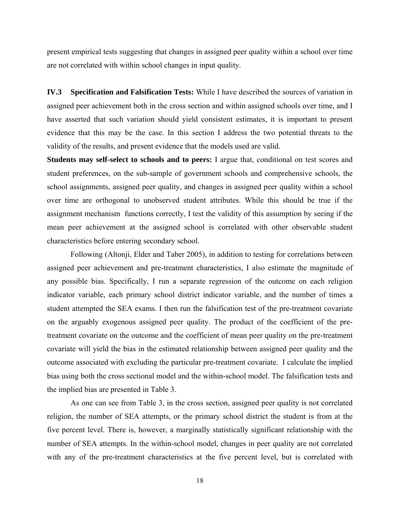present empirical tests suggesting that changes in assigned peer quality within a school over time are not correlated with within school changes in input quality.

**IV.3 Specification and Falsification Tests:** While I have described the sources of variation in assigned peer achievement both in the cross section and within assigned schools over time, and I have asserted that such variation should yield consistent estimates, it is important to present evidence that this may be the case. In this section I address the two potential threats to the validity of the results, and present evidence that the models used are valid.

**Students may self-select to schools and to peers:** I argue that, conditional on test scores and student preferences, on the sub-sample of government schools and comprehensive schools, the school assignments, assigned peer quality, and changes in assigned peer quality within a school over time are orthogonal to unobserved student attributes. While this should be true if the assignment mechanism functions correctly, I test the validity of this assumption by seeing if the mean peer achievement at the assigned school is correlated with other observable student characteristics before entering secondary school.

 Following (Altonji, Elder and Taber 2005), in addition to testing for correlations between assigned peer achievement and pre-treatment characteristics, I also estimate the magnitude of any possible bias. Specifically, I run a separate regression of the outcome on each religion indicator variable, each primary school district indicator variable, and the number of times a student attempted the SEA exams. I then run the falsification test of the pre-treatment covariate on the arguably exogenous assigned peer quality. The product of the coefficient of the pretreatment covariate on the outcome and the coefficient of mean peer quality on the pre-treatment covariate will yield the bias in the estimated relationship between assigned peer quality and the outcome associated with excluding the particular pre-treatment covariate. I calculate the implied bias using both the cross sectional model and the within-school model. The falsification tests and the implied bias are presented in Table 3.

As one can see from Table 3, in the cross section, assigned peer quality is not correlated religion, the number of SEA attempts, or the primary school district the student is from at the five percent level. There is, however, a marginally statistically significant relationship with the number of SEA attempts. In the within-school model, changes in peer quality are not correlated with any of the pre-treatment characteristics at the five percent level, but is correlated with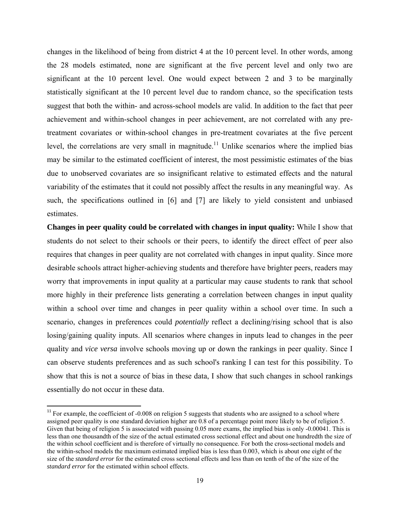changes in the likelihood of being from district 4 at the 10 percent level. In other words, among the 28 models estimated, none are significant at the five percent level and only two are significant at the 10 percent level. One would expect between 2 and 3 to be marginally statistically significant at the 10 percent level due to random chance, so the specification tests suggest that both the within- and across-school models are valid. In addition to the fact that peer achievement and within-school changes in peer achievement, are not correlated with any pretreatment covariates or within-school changes in pre-treatment covariates at the five percent level, the correlations are very small in magnitude.<sup>11</sup> Unlike scenarios where the implied bias may be similar to the estimated coefficient of interest, the most pessimistic estimates of the bias due to unobserved covariates are so insignificant relative to estimated effects and the natural variability of the estimates that it could not possibly affect the results in any meaningful way. As such, the specifications outlined in [6] and [7] are likely to yield consistent and unbiased estimates.

**Changes in peer quality could be correlated with changes in input quality:** While I show that students do not select to their schools or their peers, to identify the direct effect of peer also requires that changes in peer quality are not correlated with changes in input quality. Since more desirable schools attract higher-achieving students and therefore have brighter peers, readers may worry that improvements in input quality at a particular may cause students to rank that school more highly in their preference lists generating a correlation between changes in input quality within a school over time and changes in peer quality within a school over time. In such a scenario, changes in preferences could *potentially* reflect a declining/rising school that is also losing/gaining quality inputs. All scenarios where changes in inputs lead to changes in the peer quality and *vice versa* involve schools moving up or down the rankings in peer quality. Since I can observe students preferences and as such school's ranking I can test for this possibility. To show that this is not a source of bias in these data, I show that such changes in school rankings essentially do not occur in these data.

 $11$  For example, the coefficient of -0.008 on religion 5 suggests that students who are assigned to a school where assigned peer quality is one standard deviation higher are 0.8 of a percentage point more likely to be of religion 5. Given that being of religion 5 is associated with passing 0.05 more exams, the implied bias is only -0.00041. This is less than one thousandth of the size of the actual estimated cross sectional effect and about one hundredth the size of the within school coefficient and is therefore of virtually no consequence. For both the cross-sectional models and the within-school models the maximum estimated implied bias is less than 0.003, which is about one eight of the size of the *standard error* for the estimated cross sectional effects and less than on tenth of the of the size of the *standard error* for the estimated within school effects.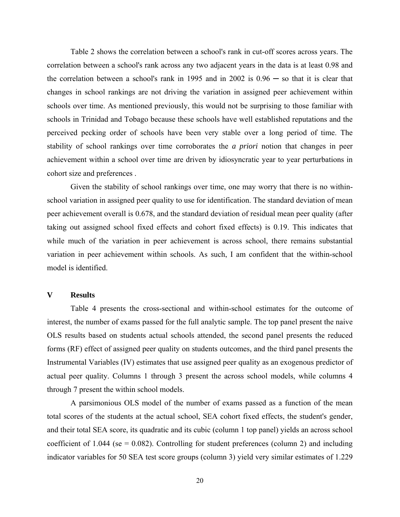Table 2 shows the correlation between a school's rank in cut-off scores across years. The correlation between a school's rank across any two adjacent years in the data is at least 0.98 and the correlation between a school's rank in 1995 and in  $2002$  is  $0.96 -$  so that it is clear that changes in school rankings are not driving the variation in assigned peer achievement within schools over time. As mentioned previously, this would not be surprising to those familiar with schools in Trinidad and Tobago because these schools have well established reputations and the perceived pecking order of schools have been very stable over a long period of time. The stability of school rankings over time corroborates the *a priori* notion that changes in peer achievement within a school over time are driven by idiosyncratic year to year perturbations in cohort size and preferences .

Given the stability of school rankings over time, one may worry that there is no withinschool variation in assigned peer quality to use for identification. The standard deviation of mean peer achievement overall is 0.678, and the standard deviation of residual mean peer quality (after taking out assigned school fixed effects and cohort fixed effects) is 0.19. This indicates that while much of the variation in peer achievement is across school, there remains substantial variation in peer achievement within schools. As such, I am confident that the within-school model is identified.

### **V Results**

Table 4 presents the cross-sectional and within-school estimates for the outcome of interest, the number of exams passed for the full analytic sample. The top panel present the naive OLS results based on students actual schools attended, the second panel presents the reduced forms (RF) effect of assigned peer quality on students outcomes, and the third panel presents the Instrumental Variables (IV) estimates that use assigned peer quality as an exogenous predictor of actual peer quality. Columns 1 through 3 present the across school models, while columns 4 through 7 present the within school models.

A parsimonious OLS model of the number of exams passed as a function of the mean total scores of the students at the actual school, SEA cohort fixed effects, the student's gender, and their total SEA score, its quadratic and its cubic (column 1 top panel) yields an across school coefficient of 1.044 (se  $= 0.082$ ). Controlling for student preferences (column 2) and including indicator variables for 50 SEA test score groups (column 3) yield very similar estimates of 1.229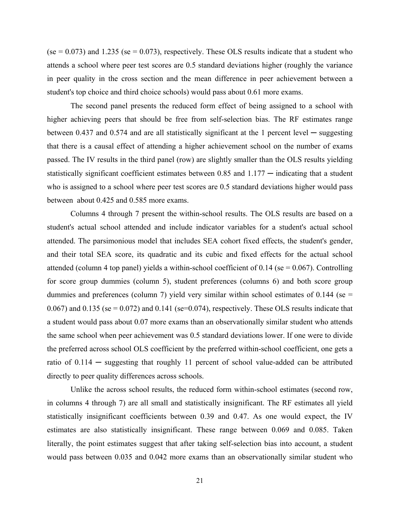$(se = 0.073)$  and 1.235 (se = 0.073), respectively. These OLS results indicate that a student who attends a school where peer test scores are 0.5 standard deviations higher (roughly the variance in peer quality in the cross section and the mean difference in peer achievement between a student's top choice and third choice schools) would pass about 0.61 more exams.

The second panel presents the reduced form effect of being assigned to a school with higher achieving peers that should be free from self-selection bias. The RF estimates range between 0.437 and 0.574 and are all statistically significant at the 1 percent level  $-$  suggesting that there is a causal effect of attending a higher achievement school on the number of exams passed. The IV results in the third panel (row) are slightly smaller than the OLS results yielding statistically significant coefficient estimates between  $0.85$  and  $1.177$  — indicating that a student who is assigned to a school where peer test scores are 0.5 standard deviations higher would pass between about 0.425 and 0.585 more exams.

Columns 4 through 7 present the within-school results. The OLS results are based on a student's actual school attended and include indicator variables for a student's actual school attended. The parsimonious model that includes SEA cohort fixed effects, the student's gender, and their total SEA score, its quadratic and its cubic and fixed effects for the actual school attended (column 4 top panel) yields a within-school coefficient of  $0.14$  (se = 0.067). Controlling for score group dummies (column 5), student preferences (columns 6) and both score group dummies and preferences (column 7) yield very similar within school estimates of 0.144 (se  $=$ 0.067) and 0.135 (se = 0.072) and 0.141 (se=0.074), respectively. These OLS results indicate that a student would pass about 0.07 more exams than an observationally similar student who attends the same school when peer achievement was 0.5 standard deviations lower. If one were to divide the preferred across school OLS coefficient by the preferred within-school coefficient, one gets a ratio of 0.114 ─ suggesting that roughly 11 percent of school value-added can be attributed directly to peer quality differences across schools.

Unlike the across school results, the reduced form within-school estimates (second row, in columns 4 through 7) are all small and statistically insignificant. The RF estimates all yield statistically insignificant coefficients between 0.39 and 0.47. As one would expect, the IV estimates are also statistically insignificant. These range between 0.069 and 0.085. Taken literally, the point estimates suggest that after taking self-selection bias into account, a student would pass between 0.035 and 0.042 more exams than an observationally similar student who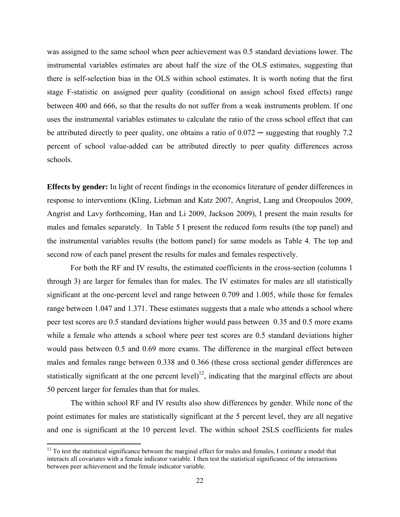was assigned to the same school when peer achievement was 0.5 standard deviations lower. The instrumental variables estimates are about half the size of the OLS estimates, suggesting that there is self-selection bias in the OLS within school estimates. It is worth noting that the first stage F-statistic on assigned peer quality (conditional on assign school fixed effects) range between 400 and 666, so that the results do not suffer from a weak instruments problem. If one uses the instrumental variables estimates to calculate the ratio of the cross school effect that can be attributed directly to peer quality, one obtains a ratio of  $0.072 -$  suggesting that roughly 7.2 percent of school value-added can be attributed directly to peer quality differences across schools.

**Effects by gender:** In light of recent findings in the economics literature of gender differences in response to interventions (Kling, Liebman and Katz 2007, Angrist, Lang and Oreopoulos 2009, Angrist and Lavy forthcoming, Han and Li 2009, Jackson 2009), I present the main results for males and females separately. In Table 5 I present the reduced form results (the top panel) and the instrumental variables results (the bottom panel) for same models as Table 4. The top and second row of each panel present the results for males and females respectively.

For both the RF and IV results, the estimated coefficients in the cross-section (columns 1 through 3) are larger for females than for males. The IV estimates for males are all statistically significant at the one-percent level and range between 0.709 and 1.005, while those for females range between 1.047 and 1.371. These estimates suggests that a male who attends a school where peer test scores are 0.5 standard deviations higher would pass between 0.35 and 0.5 more exams while a female who attends a school where peer test scores are 0.5 standard deviations higher would pass between 0.5 and 0.69 more exams. The difference in the marginal effect between males and females range between 0.338 and 0.366 (these cross sectional gender differences are statistically significant at the one percent level)<sup>12</sup>, indicating that the marginal effects are about 50 percent larger for females than that for males.

The within school RF and IV results also show differences by gender. While none of the point estimates for males are statistically significant at the 5 percent level, they are all negative and one is significant at the 10 percent level. The within school 2SLS coefficients for males

 $12$  To test the statistical significance between the marginal effect for males and females, I estimate a model that interacts all covariates with a female indicator variable. I then test the statistical significance of the interactions between peer achievement and the female indicator variable.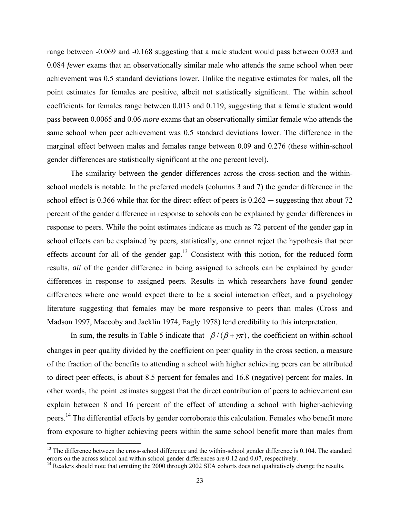range between -0.069 and -0.168 suggesting that a male student would pass between 0.033 and 0.084 *fewer* exams that an observationally similar male who attends the same school when peer achievement was 0.5 standard deviations lower. Unlike the negative estimates for males, all the point estimates for females are positive, albeit not statistically significant. The within school coefficients for females range between 0.013 and 0.119, suggesting that a female student would pass between 0.0065 and 0.06 *more* exams that an observationally similar female who attends the same school when peer achievement was 0.5 standard deviations lower. The difference in the marginal effect between males and females range between 0.09 and 0.276 (these within-school gender differences are statistically significant at the one percent level).

 The similarity between the gender differences across the cross-section and the withinschool models is notable. In the preferred models (columns 3 and 7) the gender difference in the school effect is 0.366 while that for the direct effect of peers is  $0.262$  — suggesting that about 72 percent of the gender difference in response to schools can be explained by gender differences in response to peers. While the point estimates indicate as much as 72 percent of the gender gap in school effects can be explained by peers, statistically, one cannot reject the hypothesis that peer effects account for all of the gender gap.<sup>13</sup> Consistent with this notion, for the reduced form results, *all* of the gender difference in being assigned to schools can be explained by gender differences in response to assigned peers. Results in which researchers have found gender differences where one would expect there to be a social interaction effect, and a psychology literature suggesting that females may be more responsive to peers than males (Cross and Madson 1997, Maccoby and Jacklin 1974, Eagly 1978) lend credibility to this interpretation.

In sum, the results in Table 5 indicate that  $\beta/(\beta + \gamma \pi)$ , the coefficient on within-school changes in peer quality divided by the coefficient on peer quality in the cross section, a measure of the fraction of the benefits to attending a school with higher achieving peers can be attributed to direct peer effects, is about 8.5 percent for females and 16.8 (negative) percent for males. In other words, the point estimates suggest that the direct contribution of peers to achievement can explain between 8 and 16 percent of the effect of attending a school with higher-achieving peers.<sup>14</sup> The differential effects by gender corroborate this calculation. Females who benefit more from exposure to higher achieving peers within the same school benefit more than males from

 $13$  The difference between the cross-school difference and the within-school gender difference is 0.104. The standard errors on the across school and within school gender differences are 0.12 and 0.07, respectively.

<sup>&</sup>lt;sup>14</sup> Readers should note that omitting the 2000 through 2002 SEA cohorts does not qualitatively change the results.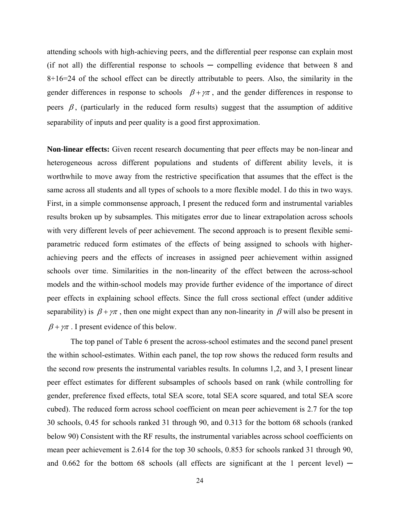attending schools with high-achieving peers, and the differential peer response can explain most  $(i)$  f not all) the differential response to schools  $-$  compelling evidence that between 8 and 8+16=24 of the school effect can be directly attributable to peers. Also, the similarity in the gender differences in response to schools  $\beta + \gamma \pi$ , and the gender differences in response to peers  $\beta$ , (particularly in the reduced form results) suggest that the assumption of additive separability of inputs and peer quality is a good first approximation.

**Non-linear effects:** Given recent research documenting that peer effects may be non-linear and heterogeneous across different populations and students of different ability levels, it is worthwhile to move away from the restrictive specification that assumes that the effect is the same across all students and all types of schools to a more flexible model. I do this in two ways. First, in a simple commonsense approach, I present the reduced form and instrumental variables results broken up by subsamples. This mitigates error due to linear extrapolation across schools with very different levels of peer achievement. The second approach is to present flexible semiparametric reduced form estimates of the effects of being assigned to schools with higherachieving peers and the effects of increases in assigned peer achievement within assigned schools over time. Similarities in the non-linearity of the effect between the across-school models and the within-school models may provide further evidence of the importance of direct peer effects in explaining school effects. Since the full cross sectional effect (under additive separability) is  $\beta + \gamma \pi$ , then one might expect than any non-linearity in  $\beta$  will also be present in  $\beta + \gamma \pi$ . I present evidence of this below.

 The top panel of Table 6 present the across-school estimates and the second panel present the within school-estimates. Within each panel, the top row shows the reduced form results and the second row presents the instrumental variables results. In columns 1,2, and 3, I present linear peer effect estimates for different subsamples of schools based on rank (while controlling for gender, preference fixed effects, total SEA score, total SEA score squared, and total SEA score cubed). The reduced form across school coefficient on mean peer achievement is 2.7 for the top 30 schools, 0.45 for schools ranked 31 through 90, and 0.313 for the bottom 68 schools (ranked below 90) Consistent with the RF results, the instrumental variables across school coefficients on mean peer achievement is 2.614 for the top 30 schools, 0.853 for schools ranked 31 through 90, and  $0.662$  for the bottom 68 schools (all effects are significant at the 1 percent level)  $-$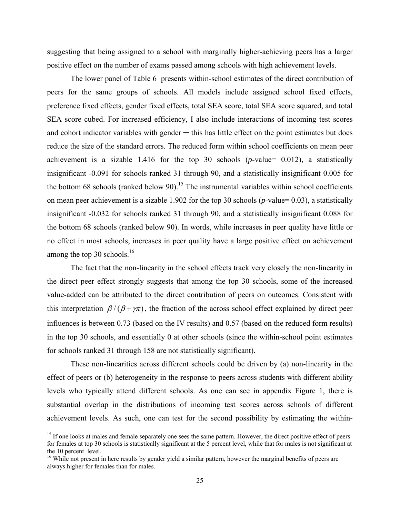suggesting that being assigned to a school with marginally higher-achieving peers has a larger positive effect on the number of exams passed among schools with high achievement levels.

 The lower panel of Table 6 presents within-school estimates of the direct contribution of peers for the same groups of schools. All models include assigned school fixed effects, preference fixed effects, gender fixed effects, total SEA score, total SEA score squared, and total SEA score cubed. For increased efficiency, I also include interactions of incoming test scores and cohort indicator variables with gender  $-$  this has little effect on the point estimates but does reduce the size of the standard errors. The reduced form within school coefficients on mean peer achievement is a sizable  $1.416$  for the top 30 schools ( $p$ -value= 0.012), a statistically insignificant -0.091 for schools ranked 31 through 90, and a statistically insignificant 0.005 for the bottom 68 schools (ranked below 90).<sup>15</sup> The instrumental variables within school coefficients on mean peer achievement is a sizable 1.902 for the top 30 schools (*p*-value= 0.03), a statistically insignificant -0.032 for schools ranked 31 through 90, and a statistically insignificant 0.088 for the bottom 68 schools (ranked below 90). In words, while increases in peer quality have little or no effect in most schools, increases in peer quality have a large positive effect on achievement among the top 30 schools. $16$ 

 The fact that the non-linearity in the school effects track very closely the non-linearity in the direct peer effect strongly suggests that among the top 30 schools, some of the increased value-added can be attributed to the direct contribution of peers on outcomes. Consistent with this interpretation  $\beta/(\beta + \gamma \pi)$ , the fraction of the across school effect explained by direct peer influences is between 0.73 (based on the IV results) and 0.57 (based on the reduced form results) in the top 30 schools, and essentially 0 at other schools (since the within-school point estimates for schools ranked 31 through 158 are not statistically significant).

These non-linearities across different schools could be driven by (a) non-linearity in the effect of peers or (b) heterogeneity in the response to peers across students with different ability levels who typically attend different schools. As one can see in appendix Figure 1, there is substantial overlap in the distributions of incoming test scores across schools of different achievement levels. As such, one can test for the second possibility by estimating the within-

<sup>&</sup>lt;sup>15</sup> If one looks at males and female separately one sees the same pattern. However, the direct positive effect of peers for females at top 30 schools is statistically significant at the 5 percent level, while that for males is not significant at the 10 percent level.

<sup>&</sup>lt;sup>16</sup> While not present in here results by gender yield a similar pattern, however the marginal benefits of peers are always higher for females than for males.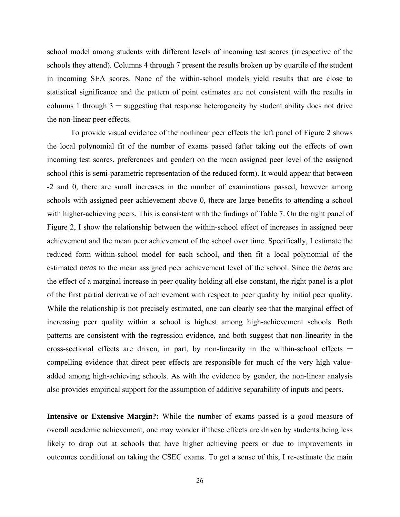school model among students with different levels of incoming test scores (irrespective of the schools they attend). Columns 4 through 7 present the results broken up by quartile of the student in incoming SEA scores. None of the within-school models yield results that are close to statistical significance and the pattern of point estimates are not consistent with the results in columns 1 through  $3 -$  suggesting that response heterogeneity by student ability does not drive the non-linear peer effects.

To provide visual evidence of the nonlinear peer effects the left panel of Figure 2 shows the local polynomial fit of the number of exams passed (after taking out the effects of own incoming test scores, preferences and gender) on the mean assigned peer level of the assigned school (this is semi-parametric representation of the reduced form). It would appear that between -2 and 0, there are small increases in the number of examinations passed, however among schools with assigned peer achievement above 0, there are large benefits to attending a school with higher-achieving peers. This is consistent with the findings of Table 7. On the right panel of Figure 2, I show the relationship between the within-school effect of increases in assigned peer achievement and the mean peer achievement of the school over time. Specifically, I estimate the reduced form within-school model for each school, and then fit a local polynomial of the estimated *betas* to the mean assigned peer achievement level of the school. Since the *betas* are the effect of a marginal increase in peer quality holding all else constant, the right panel is a plot of the first partial derivative of achievement with respect to peer quality by initial peer quality. While the relationship is not precisely estimated, one can clearly see that the marginal effect of increasing peer quality within a school is highest among high-achievement schools. Both patterns are consistent with the regression evidence, and both suggest that non-linearity in the cross-sectional effects are driven, in part, by non-linearity in the within-school effects  $$ compelling evidence that direct peer effects are responsible for much of the very high valueadded among high-achieving schools. As with the evidence by gender, the non-linear analysis also provides empirical support for the assumption of additive separability of inputs and peers.

**Intensive or Extensive Margin?:** While the number of exams passed is a good measure of overall academic achievement, one may wonder if these effects are driven by students being less likely to drop out at schools that have higher achieving peers or due to improvements in outcomes conditional on taking the CSEC exams. To get a sense of this, I re-estimate the main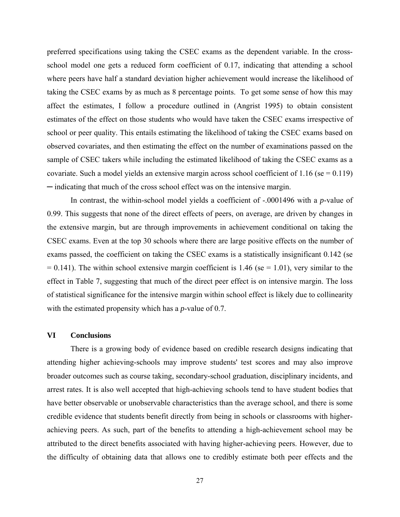preferred specifications using taking the CSEC exams as the dependent variable. In the crossschool model one gets a reduced form coefficient of 0.17, indicating that attending a school where peers have half a standard deviation higher achievement would increase the likelihood of taking the CSEC exams by as much as 8 percentage points. To get some sense of how this may affect the estimates, I follow a procedure outlined in (Angrist 1995) to obtain consistent estimates of the effect on those students who would have taken the CSEC exams irrespective of school or peer quality. This entails estimating the likelihood of taking the CSEC exams based on observed covariates, and then estimating the effect on the number of examinations passed on the sample of CSEC takers while including the estimated likelihood of taking the CSEC exams as a covariate. Such a model yields an extensive margin across school coefficient of  $1.16$  (se = 0.119) ─ indicating that much of the cross school effect was on the intensive margin.

 In contrast, the within-school model yields a coefficient of -.0001496 with a *p*-value of 0.99. This suggests that none of the direct effects of peers, on average, are driven by changes in the extensive margin, but are through improvements in achievement conditional on taking the CSEC exams. Even at the top 30 schools where there are large positive effects on the number of exams passed, the coefficient on taking the CSEC exams is a statistically insignificant 0.142 (se  $= 0.141$ ). The within school extensive margin coefficient is 1.46 (se  $= 1.01$ ), very similar to the effect in Table 7, suggesting that much of the direct peer effect is on intensive margin. The loss of statistical significance for the intensive margin within school effect is likely due to collinearity with the estimated propensity which has a *p*-value of 0.7.

### **VI Conclusions**

There is a growing body of evidence based on credible research designs indicating that attending higher achieving-schools may improve students' test scores and may also improve broader outcomes such as course taking, secondary-school graduation, disciplinary incidents, and arrest rates. It is also well accepted that high-achieving schools tend to have student bodies that have better observable or unobservable characteristics than the average school, and there is some credible evidence that students benefit directly from being in schools or classrooms with higherachieving peers. As such, part of the benefits to attending a high-achievement school may be attributed to the direct benefits associated with having higher-achieving peers. However, due to the difficulty of obtaining data that allows one to credibly estimate both peer effects and the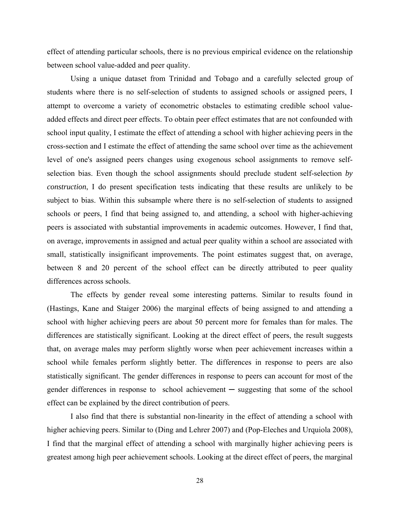effect of attending particular schools, there is no previous empirical evidence on the relationship between school value-added and peer quality.

Using a unique dataset from Trinidad and Tobago and a carefully selected group of students where there is no self-selection of students to assigned schools or assigned peers, I attempt to overcome a variety of econometric obstacles to estimating credible school valueadded effects and direct peer effects. To obtain peer effect estimates that are not confounded with school input quality, I estimate the effect of attending a school with higher achieving peers in the cross-section and I estimate the effect of attending the same school over time as the achievement level of one's assigned peers changes using exogenous school assignments to remove selfselection bias. Even though the school assignments should preclude student self-selection *by construction*, I do present specification tests indicating that these results are unlikely to be subject to bias. Within this subsample where there is no self-selection of students to assigned schools or peers, I find that being assigned to, and attending, a school with higher-achieving peers is associated with substantial improvements in academic outcomes. However, I find that, on average, improvements in assigned and actual peer quality within a school are associated with small, statistically insignificant improvements. The point estimates suggest that, on average, between 8 and 20 percent of the school effect can be directly attributed to peer quality differences across schools.

The effects by gender reveal some interesting patterns. Similar to results found in (Hastings, Kane and Staiger 2006) the marginal effects of being assigned to and attending a school with higher achieving peers are about 50 percent more for females than for males. The differences are statistically significant. Looking at the direct effect of peers, the result suggests that, on average males may perform slightly worse when peer achievement increases within a school while females perform slightly better. The differences in response to peers are also statistically significant. The gender differences in response to peers can account for most of the gender differences in response to school achievement — suggesting that some of the school effect can be explained by the direct contribution of peers.

I also find that there is substantial non-linearity in the effect of attending a school with higher achieving peers. Similar to (Ding and Lehrer 2007) and (Pop-Eleches and Urquiola 2008), I find that the marginal effect of attending a school with marginally higher achieving peers is greatest among high peer achievement schools. Looking at the direct effect of peers, the marginal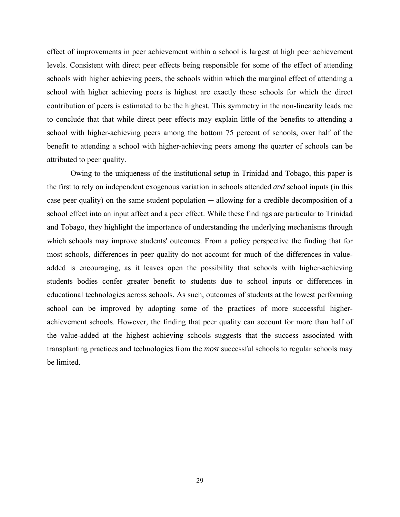effect of improvements in peer achievement within a school is largest at high peer achievement levels. Consistent with direct peer effects being responsible for some of the effect of attending schools with higher achieving peers, the schools within which the marginal effect of attending a school with higher achieving peers is highest are exactly those schools for which the direct contribution of peers is estimated to be the highest. This symmetry in the non-linearity leads me to conclude that that while direct peer effects may explain little of the benefits to attending a school with higher-achieving peers among the bottom 75 percent of schools, over half of the benefit to attending a school with higher-achieving peers among the quarter of schools can be attributed to peer quality.

Owing to the uniqueness of the institutional setup in Trinidad and Tobago, this paper is the first to rely on independent exogenous variation in schools attended *and* school inputs (in this case peer quality) on the same student population  $-$  allowing for a credible decomposition of a school effect into an input affect and a peer effect. While these findings are particular to Trinidad and Tobago, they highlight the importance of understanding the underlying mechanisms through which schools may improve students' outcomes. From a policy perspective the finding that for most schools, differences in peer quality do not account for much of the differences in valueadded is encouraging, as it leaves open the possibility that schools with higher-achieving students bodies confer greater benefit to students due to school inputs or differences in educational technologies across schools. As such, outcomes of students at the lowest performing school can be improved by adopting some of the practices of more successful higherachievement schools. However, the finding that peer quality can account for more than half of the value-added at the highest achieving schools suggests that the success associated with transplanting practices and technologies from the *most* successful schools to regular schools may be limited.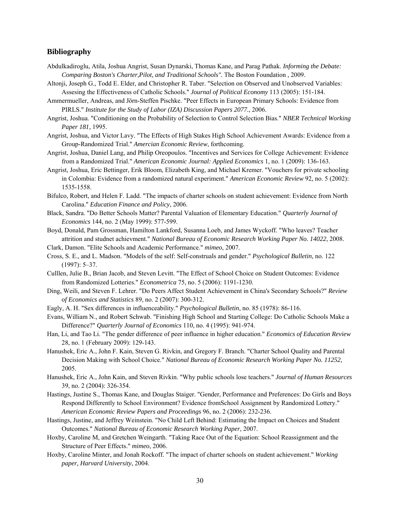#### **Bibliography**

- Abdulkadiroglu, Atila, Joshua Angrist, Susan Dynarski, Thomas Kane, and Parag Pathak. *Informing the Debate: Comparing Boston's Charter,Pilot, and Traditional Schools".* The Boston Foundation , 2009.
- Altonji, Joseph G., Todd E. Elder, and Christopher R. Taber. "Selection on Observed and Unobserved Variables: Assesing the Effectiveness of Catholic Schools." *Journal of Political Economy* 113 (2005): 151-184.
- Ammermueller, Andreas, and Jörn-Steffen Pischke. "Peer Effects in European Primary Schools: Evidence from PIRLS." *Institute for the Study of Labor (IZA) Discussion Papers 2077.*, 2006.
- Angrist, Joshua. "Conditioning on the Probability of Selection to Control Selection Bias." *NBER Technical Working Paper 181*, 1995.
- Angrist, Joshua, and Victor Lavy. "The Effects of High Stakes High School Achievement Awards: Evidence from a Group-Randomized Trial." *Amercian Economic Review*, forthcoming.
- Angrist, Joshua, Daniel Lang, and Philip Oreopoulos. "Incentives and Services for College Achievement: Evidence from a Randomized Trial." *American Economic Journal: Applied Economics* 1, no. 1 (2009): 136-163.
- Angrist, Joshua, Eric Bettinger, Erik Bloom, Elizabeth King, and Michael Kremer. "Vouchers for private schooling in Colombia: Evidence from a randomized natural experiment." *American Economic Review* 92, no. 5 (2002): 1535-1558.
- Bifulco, Robert, and Helen F. Ladd. "The impacts of charter schools on student achievement: Evidence from North Carolina." *Education Finance and Policy*, 2006.
- Black, Sandra. "Do Better Schools Matter? Parental Valuation of Elementary Education." *Quarterly Journal of Economics* 144, no. 2 (May 1999): 577-599.
- Boyd, Donald, Pam Grossman, Hamilton Lankford, Susanna Loeb, and James Wyckoff. "Who leaves? Teacher attrition and studnet achievment." *National Bureau of Economic Research Working Paper No. 14022*, 2008.
- Clark, Damon. "Elite Schools and Academic Performance." *mimeo*, 2007.
- Cross, S. E., and L. Madson. "Models of the self: Self-construals and gender." *Psychological Bulletin*, no. 122 (1997): 5–37.
- Culllen, Julie B., Brian Jacob, and Steven Levitt. "The Effect of School Choice on Student Outcomes: Evidence from Randomized Lotteries." *Econometrica* 75, no. 5 (2006): 1191-1230.
- Ding, Weili, and Steven F. Lehrer. "Do Peers Affect Student Achievement in China's Secondary Schools?" *Review of Economics and Statistics* 89, no. 2 (2007): 300-312.
- Eagly, A. H. "Sex differences in influenceability." *Psychological Bulletin*, no. 85 (1978): 86-116.
- Evans, William N., and Robert Schwab. "Finishing High School and Starting College: Do Catholic Schools Make a Difference?" *Quarterly Journal of Economics* 110, no. 4 (1995): 941-974.
- Han, Li, and Tao Li. "The gender difference of peer influence in higher education." *Economics of Education Review* 28, no. 1 (February 2009): 129-143.
- Hanushek, Eric A., John F. Kain, Steven G. Rivkin, and Gregory F. Branch. "Charter School Quality and Parental Decision Making with School Choice." *National Bureau of Economic Research Working Paper No. 11252*, 2005.
- Hanushek, Eric A., John Kain, and Steven Rivkin. "Why public schools lose teachers." *Journal of Human Resources* 39, no. 2 (2004): 326-354.
- Hastings, Justine S., Thomas Kane, and Douglas Staiger. "Gender, Performance and Preferences: Do Girls and Boys Respond Differently to School Environment? Evidence fromSchool Assignment by Randomized Lottery." *American Economic Review Papers and Proceedings* 96, no. 2 (2006): 232-236.
- Hastings, Justine, and Jeffrey Weinstein. "No Child Left Behind: Estimating the Impact on Choices and Student Outcomes." *National Bureau of Economic Research Working Paper*, 2007.
- Hoxby, Caroline M, and Gretchen Weingarth. "Taking Race Out of the Equation: School Reassignment and the Structure of Peer Effects." *mimeo*, 2006.
- Hoxby, Caroline Minter, and Jonah Rockoff. "The impact of charter schools on student achievement." *Working paper, Harvard University*, 2004.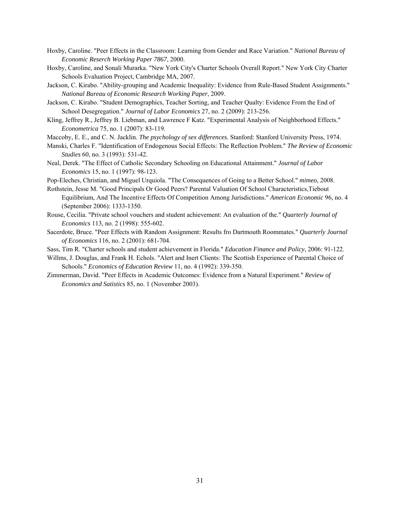- Hoxby, Caroline. "Peer Effects in the Classroom: Learning from Gender and Race Variation." *National Bureau of Economic Reserch Working Paper 7867*, 2000.
- Hoxby, Caroline, and Sonali Murarka. "New York City's Charter Schools Overall Report." New York City Charter Schools Evaluation Project, Cambridge MA, 2007.
- Jackson, C. Kirabo. "Ability-grouping and Academic Inequality: Evidence from Rule-Based Student Assignments." *National Bureau of Economic Research Working Paper*, 2009.
- Jackson, C. Kirabo. "Student Demographics, Teacher Sorting, and Teacher Qualty: Evidence From the End of School Desegregation." *Journal of Labor Economics* 27, no. 2 (2009): 213-256.
- Kling, Jeffrey R., Jeffrey B. Liebman, and Lawrence F Katz. "Experimental Analysis of Neighborhood Effects." *Econometrica* 75, no. 1 (2007): 83-119.
- Maccoby, E. E., and C. N. Jacklin. *The psychology of sex differences.* Stanford: Stanford University Press, 1974.
- Manski, Charles F. "Identification of Endogenous Social Effects: The Reflection Problem." *The Review of Economic Studies* 60, no. 3 (1993): 531-42.
- Neal, Derek. "The Effect of Catholic Secondary Schooling on Educational Attainment." *Journal of Labor Economics* 15, no. 1 (1997): 98-123.
- Pop-Eleches, Christian, and Miguel Urquiola. "The Consequences of Going to a Better School." *mimeo*, 2008.
- Rothstein, Jesse M. "Good Principals Or Good Peers? Parental Valuation Of School Characteristics,Tiebout Equilibrium, And The Incentive Effects Of Competition Among Jurisdictions." *American Economic* 96, no. 4 (September 2006): 1333-1350.
- Rouse, Cecilia. "Private school vouchers and student achievement: An evaluation of the." *Quarterly Journal of Economics* 113, no. 2 (1998): 555-602.
- Sacerdote, Bruce. "Peer Effects with Random Assignment: Results fro Dartmouth Roommates." *Quarterly Journal of Economics* 116, no. 2 (2001): 681-704.
- Sass, Tim R. "Charter schools and student achievement in Florida." *Education Finance and Policy*, 2006: 91-122.
- Willms, J. Douglas, and Frank H. Echols. "Alert and Inert Clients: The Scottish Experience of Parental Choice of Schools." *Economics of Education Review* 11, no. 4 (1992): 339-350.
- Zimmerman, David. "Peer Effects in Academic Outcomes: Evidence from a Natural Experiment." *Review of Economics and Satistics* 85, no. 1 (November 2003).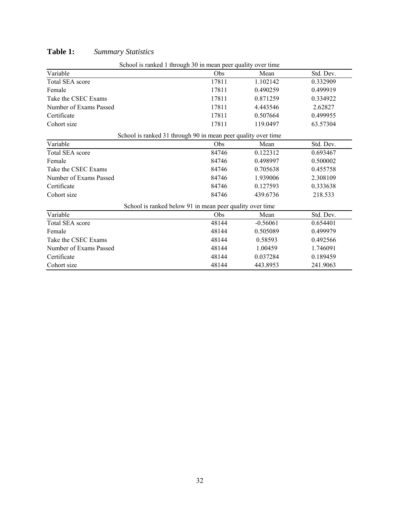| School is ranked 1 through 30 in mean peer quality over time  |       |            |           |  |  |  |  |  |
|---------------------------------------------------------------|-------|------------|-----------|--|--|--|--|--|
| Variable                                                      | Obs   | Mean       | Std. Dev. |  |  |  |  |  |
| <b>Total SEA score</b>                                        | 17811 | 1.102142   | 0.332909  |  |  |  |  |  |
| Female                                                        | 17811 | 0.490259   | 0.499919  |  |  |  |  |  |
| Take the CSEC Exams                                           | 17811 | 0.871259   | 0.334922  |  |  |  |  |  |
| Number of Exams Passed                                        | 17811 | 4.443546   | 2.62827   |  |  |  |  |  |
| Certificate                                                   | 17811 | 0.507664   | 0.499955  |  |  |  |  |  |
| Cohort size                                                   | 17811 | 119.0497   | 63.57304  |  |  |  |  |  |
| School is ranked 31 through 90 in mean peer quality over time |       |            |           |  |  |  |  |  |
| Variable                                                      | Obs   | Mean       | Std. Dev. |  |  |  |  |  |
| <b>Total SEA score</b>                                        | 84746 | 0.122312   | 0.693467  |  |  |  |  |  |
| Female                                                        | 84746 | 0.498997   | 0.500002  |  |  |  |  |  |
| Take the CSEC Exams                                           | 84746 | 0.705638   | 0.455758  |  |  |  |  |  |
| Number of Exams Passed                                        | 84746 | 1.939006   | 2.308109  |  |  |  |  |  |
| Certificate                                                   | 84746 | 0.127593   | 0.333638  |  |  |  |  |  |
| Cohort size                                                   | 84746 | 439.6736   | 218.533   |  |  |  |  |  |
| School is ranked below 91 in mean peer quality over time      |       |            |           |  |  |  |  |  |
| Variable                                                      | Obs   | Mean       | Std. Dev. |  |  |  |  |  |
| <b>Total SEA score</b>                                        | 48144 | $-0.56061$ | 0.654401  |  |  |  |  |  |
| Female                                                        | 48144 | 0.505089   | 0.499979  |  |  |  |  |  |
| Take the CSEC Exams                                           | 48144 | 0.58593    | 0.492566  |  |  |  |  |  |
| Number of Exams Passed                                        | 48144 | 1.00459    | 1.746091  |  |  |  |  |  |
| Certificate                                                   | 48144 | 0.037284   | 0.189459  |  |  |  |  |  |
| Cohort size                                                   | 48144 | 443.8953   | 241.9063  |  |  |  |  |  |

## **Table 1:** *Summary Statistics*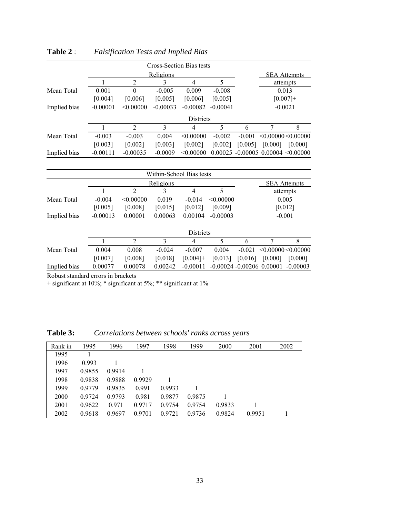|              |            |                |            | Cross-Section Bias tests |            |               |                     |                                       |  |
|--------------|------------|----------------|------------|--------------------------|------------|---------------|---------------------|---------------------------------------|--|
|              |            |                | Religions  |                          |            |               | <b>SEA Attempts</b> |                                       |  |
|              |            | $\overline{2}$ | 3          | 4                        | 5          |               |                     | attempts                              |  |
| Mean Total   | 0.001      | $\theta$       | $-0.005$   | 0.009                    | $-0.008$   |               |                     | 0.013                                 |  |
|              | [0.004]    | [0.006]        | [0.005]    | [0.006]                  | [0.005]    |               |                     | $[0.007]+$                            |  |
| Implied bias | $-0.00001$ | < 0.00000      | $-0.00033$ | $-0.00082$               | $-0.00041$ |               |                     | $-0.0021$                             |  |
|              |            |                |            | <b>Districts</b>         |            |               |                     |                                       |  |
|              | 1          | $\overline{2}$ | 3          | 4                        | 5          | 6             | 7                   | 8                                     |  |
| Mean Total   | $-0.003$   | $-0.003$       | 0.004      | < 0.00000                | $-0.002$   | $-0.001$      |                     | < 0.00000 < 0.00000                   |  |
|              | [0.003]    | [0.002]        | [0.003]    | [0.002]                  | [0.002]    | [0.005]       | [0.000]             | [0.000]                               |  |
| Implied bias | $-0.00111$ | $-0.00035$     | $-0.0009$  | < 0.00000                |            |               |                     | $0.00025 - 0.00005 0.00004 < 0.00000$ |  |
|              |            |                |            |                          |            |               |                     |                                       |  |
|              |            |                |            | Within-School Bias tests |            |               |                     |                                       |  |
|              |            |                | Religions  |                          |            |               |                     | <b>SEA</b> Attempts                   |  |
|              |            | $\overline{2}$ | 3          | 4                        | 5          |               |                     | attempts                              |  |
| Mean Total   | $-0.004$   | < 0.00000      | 0.019      | $-0.014$                 | < 0.00000  |               |                     | 0.005                                 |  |
|              | [0.005]    | [0.008]        | [0.015]    | [0.012]                  | [0.009]    |               |                     | [0.012]                               |  |
| Implied bias | $-0.00013$ | 0.00001        | 0.00063    | 0.00104                  | $-0.00003$ |               |                     | $-0.001$                              |  |
|              | Districts  |                |            |                          |            |               |                     |                                       |  |
|              |            | $\overline{2}$ | 3          | 4                        | 5          | 6             | 7                   | 8                                     |  |
| Moon Total   | 0.004      | 0.008          | 0.024      | <u>ስ ሰሰ7</u>             | 0.004      | <u>በ በ</u> 21 |                     | $>$ በ በበበበበ $>$ በ በበበበበ               |  |

**Table 2** : *Falsification Tests and Implied Bias*

|              |            |                |          |                  |            |                              |         | ------------                |
|--------------|------------|----------------|----------|------------------|------------|------------------------------|---------|-----------------------------|
| Mean Total   | $-0.004$   | < 0.00000      | 0.019    | $-0.014$         | < 0.00000  |                              |         | 0.005                       |
|              | [0.005]    | [0.008]        | [0.015]  | [0.012]          | [0.009]    |                              |         | [0.012]                     |
| Implied bias | $-0.00013$ | 0.00001        | 0.00063  | 0.00104          | $-0.00003$ |                              |         | $-0.001$                    |
|              |            |                |          | <b>Districts</b> |            |                              |         |                             |
|              |            | $\mathfrak{D}$ | 3        | 4                | 5          | 6                            |         | 8                           |
| Mean Total   | 0.004      | 0.008          | $-0.024$ | $-0.007$         | 0.004      | $-0.021$                     |         | $\leq 0.00000 \leq 0.00000$ |
|              | [0.007]    | [0.008]        | [0.018]  | $[0.004]+$       | [0.013]    | [0.016]                      | [0.000] | [0.000]                     |
| Implied bias | 0.00077    | 0.00078        | 0.00242  | $-0.00011$       |            | $-0.00024 - 0.00206$ 0.00001 |         | $-0.00003$                  |

Robust standard errors in brackets

+ significant at 10%; \* significant at 5%; \*\* significant at 1%

| Rank in | 1995   | 1996   | 1997   | 1998   | 1999   | 2000   | 2001   | 2002 |
|---------|--------|--------|--------|--------|--------|--------|--------|------|
| 1995    |        |        |        |        |        |        |        |      |
| 1996    | 0.993  |        |        |        |        |        |        |      |
| 1997    | 0.9855 | 0.9914 |        |        |        |        |        |      |
| 1998    | 0.9838 | 0.9888 | 0.9929 |        |        |        |        |      |
| 1999    | 0.9779 | 0.9835 | 0.991  | 0.9933 |        |        |        |      |
| 2000    | 0.9724 | 0.9793 | 0.981  | 0.9877 | 0.9875 |        |        |      |
| 2001    | 0.9622 | 0.971  | 0.9717 | 0.9754 | 0.9754 | 0.9833 |        |      |
| 2002    | 0.9618 | 0.9697 | 0.9701 | 0.9721 | 0.9736 | 0.9824 | 0.9951 |      |

**Table 3:** *Correlations between schools' ranks across years*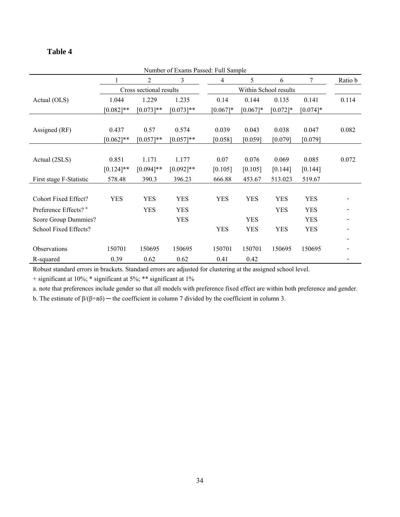## **Table 4**

| Number of Exams Passed: Full Sample |              |                         |              |            |                       |             |             |         |  |
|-------------------------------------|--------------|-------------------------|--------------|------------|-----------------------|-------------|-------------|---------|--|
|                                     |              | 2                       | 3            | 4          | 5                     | 6           | 7           | Ratio b |  |
|                                     |              | Cross sectional results |              |            | Within School results |             |             |         |  |
| Actual (OLS)                        | 1.044        | 1.229                   | 1.235        | 0.14       | 0.144                 | 0.135       | 0.141       | 0.114   |  |
|                                     | $[0.082]$ ** | $[0.073]**$             | $[0.073]**$  | $[0.067]*$ | $[0.067]$ *           | $[0.072]$ * | $[0.074]$ * |         |  |
|                                     |              |                         |              |            |                       |             |             |         |  |
| Assigned (RF)                       | 0.437        | 0.57                    | 0.574        | 0.039      | 0.043                 | 0.038       | 0.047       | 0.082   |  |
|                                     | $[0.062]$ ** | $[0.057]**$             | $[0.057]**$  | [0.058]    | [0.059]               | [0.079]     | [0.079]     |         |  |
|                                     |              |                         |              |            |                       |             |             |         |  |
| Actual (2SLS)                       | 0.851        | 1.171                   | 1.177        | 0.07       | 0.076                 | 0.069       | 0.085       | 0.072   |  |
|                                     | $[0.124]$ ** | $[0.094]$ **            | $[0.092]$ ** | [0.105]    | [0.105]               | [0.144]     | [0.144]     |         |  |
| First stage F-Statistic             | 578.48       | 390.3                   | 396.23       | 666.88     | 453.67                | 513.023     | 519.67      |         |  |
|                                     |              |                         |              |            |                       |             |             |         |  |
| Cohort Fixed Effect?                | <b>YES</b>   | <b>YES</b>              | <b>YES</b>   | <b>YES</b> | <b>YES</b>            | <b>YES</b>  | <b>YES</b>  |         |  |
| Preference Effects? <sup>a</sup>    |              | <b>YES</b>              | <b>YES</b>   |            |                       | <b>YES</b>  | <b>YES</b>  |         |  |
| Score Group Dummies?                |              |                         | <b>YES</b>   |            | <b>YES</b>            |             | <b>YES</b>  |         |  |
| School Fixed Effects?               |              |                         |              | <b>YES</b> | <b>YES</b>            | <b>YES</b>  | <b>YES</b>  |         |  |
|                                     |              |                         |              |            |                       |             |             |         |  |
| Observations                        | 150701       | 150695                  | 150695       | 150701     | 150701                | 150695      | 150695      |         |  |
| R-squared                           | 0.39         | 0.62                    | 0.62         | 0.41       | 0.42                  |             |             |         |  |

Robust standard errors in brackets. Standard errors are adjusted for clustering at the assigned school level.

+ significant at 10%; \* significant at 5%; \*\* significant at 1%

a. note that preferences include gender so that all models with preference fixed effect are within both preference and gender.

b. The estimate of  $\beta/(\beta+\pi\delta)$  — the coefficient in column 7 divided by the coefficient in column 3.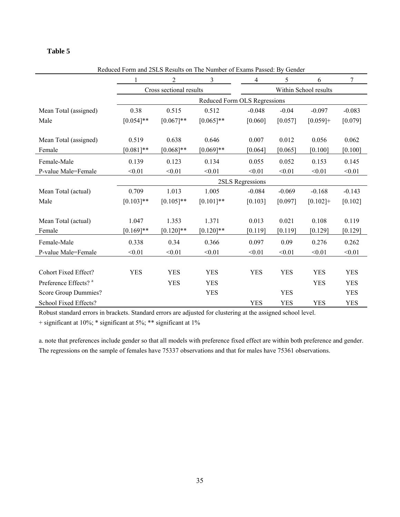### **Table 5**

|                                  | Requeed Form and 2SLS Results on The Number of Exams Passed. By Gender |                         |              |                              |                       |             |            |  |  |  |
|----------------------------------|------------------------------------------------------------------------|-------------------------|--------------|------------------------------|-----------------------|-------------|------------|--|--|--|
|                                  |                                                                        | 2                       | 3            | 4                            | 5                     | 6           | 7          |  |  |  |
|                                  |                                                                        | Cross sectional results |              |                              | Within School results |             |            |  |  |  |
|                                  |                                                                        |                         |              | Reduced Form OLS Regressions |                       |             |            |  |  |  |
| Mean Total (assigned)            | 0.38                                                                   | 0.515                   | 0.512        | $-0.048$                     | $-0.04$               | $-0.097$    | $-0.083$   |  |  |  |
| Male                             | $[0.054]$ **                                                           | $[0.067]**$             | $[0.065]$ ** | [0.060]                      | [0.057]               | $[0.059]+$  | [0.079]    |  |  |  |
|                                  |                                                                        |                         |              |                              |                       |             |            |  |  |  |
| Mean Total (assigned)            | 0.519                                                                  | 0.638                   | 0.646        | 0.007                        | 0.012                 | 0.056       | 0.062      |  |  |  |
| Female                           | $[0.081]$ **                                                           | $[0.068]$ **            | $[0.069]**$  | [0.064]                      | [0.065]               | [0.100]     | [0.100]    |  |  |  |
| Female-Male                      | 0.139                                                                  | 0.123                   | 0.134        | 0.055                        | 0.052                 | 0.153       | 0.145      |  |  |  |
| P-value Male=Female              | < 0.01                                                                 | < 0.01                  | < 0.01       | < 0.01                       | < 0.01                | < 0.01      | < 0.01     |  |  |  |
|                                  |                                                                        |                         |              | 2SLS Regressions             |                       |             |            |  |  |  |
| Mean Total (actual)              | 0.709                                                                  | 1.013                   | 1.005        | $-0.084$                     | $-0.069$              | $-0.168$    | $-0.143$   |  |  |  |
| Male                             | $[0.103]$ **                                                           | $[0.105]$ **            | $[0.101]**$  | [0.103]                      | [0.097]               | $[0.102] +$ | [0.102]    |  |  |  |
|                                  |                                                                        |                         |              |                              |                       |             |            |  |  |  |
| Mean Total (actual)              | 1.047                                                                  | 1.353                   | 1.371        | 0.013                        | 0.021                 | 0.108       | 0.119      |  |  |  |
| Female                           | $[0.169]$ **                                                           | $[0.120]$ **            | $[0.120]$ ** | [0.119]                      | [0.119]               | [0.129]     | [0.129]    |  |  |  |
| Female-Male                      | 0.338                                                                  | 0.34                    | 0.366        | 0.097                        | 0.09                  | 0.276       | 0.262      |  |  |  |
| P-value Male=Female              | < 0.01                                                                 | < 0.01                  | < 0.01       | < 0.01                       | < 0.01                | < 0.01      | < 0.01     |  |  |  |
|                                  |                                                                        |                         |              |                              |                       |             |            |  |  |  |
| <b>Cohort Fixed Effect?</b>      | <b>YES</b>                                                             | <b>YES</b>              | <b>YES</b>   | <b>YES</b>                   | <b>YES</b>            | <b>YES</b>  | <b>YES</b> |  |  |  |
| Preference Effects? <sup>a</sup> |                                                                        | <b>YES</b>              | <b>YES</b>   |                              |                       | <b>YES</b>  | <b>YES</b> |  |  |  |
| Score Group Dummies?             |                                                                        |                         | <b>YES</b>   |                              | <b>YES</b>            |             | <b>YES</b> |  |  |  |
| School Fixed Effects?            |                                                                        |                         |              | <b>YES</b>                   | <b>YES</b>            | <b>YES</b>  | <b>YES</b> |  |  |  |

Reduced Form and 2SLS Results on The Number of Exams Passed: By Gender

Robust standard errors in brackets. Standard errors are adjusted for clustering at the assigned school level.

+ significant at 10%; \* significant at 5%; \*\* significant at 1%

a. note that preferences include gender so that all models with preference fixed effect are within both preference and gender. The regressions on the sample of females have 75337 observations and that for males have 75361 observations.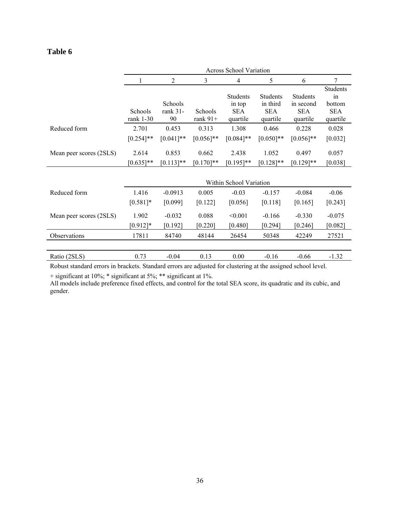## **Table 6**

|                         | <b>Across School Variation</b> |                           |                       |                                                     |                                                       |                                                        |                                                    |  |  |  |
|-------------------------|--------------------------------|---------------------------|-----------------------|-----------------------------------------------------|-------------------------------------------------------|--------------------------------------------------------|----------------------------------------------------|--|--|--|
|                         |                                | $\overline{2}$            | 3                     | 4                                                   | 5                                                     | 6                                                      | 7                                                  |  |  |  |
|                         | Schools<br>rank $1-30$         | Schools<br>rank 31-<br>90 | Schools<br>rank $91+$ | <b>Students</b><br>in top<br><b>SEA</b><br>quartile | <b>Students</b><br>in third<br><b>SEA</b><br>quartile | <b>Students</b><br>in second<br><b>SEA</b><br>quartile | Students<br>in<br>bottom<br><b>SEA</b><br>quartile |  |  |  |
| Reduced form            | 2.701                          | 0.453                     | 0.313                 | 1.308                                               | 0.466                                                 | 0.228                                                  | 0.028                                              |  |  |  |
|                         | $[0.254]$ **                   | $[0.041]$ **              | $[0.056]$ **          | $[0.084]$ **                                        | $[0.050]$ **                                          | $[0.056]$ **                                           | [0.032]                                            |  |  |  |
| Mean peer scores (2SLS) | 2.614                          | 0.853                     | 0.662                 | 2.438                                               | 1.052                                                 | 0.497                                                  | 0.057                                              |  |  |  |
|                         | $[0.635]$ **                   | $[0.113]$ **              | $[0.170]$ **          | $[0.195]$ **                                        | $[0.128]$ **                                          | $[0.129]$ **                                           | [0.038]                                            |  |  |  |
|                         |                                | Within School Variation   |                       |                                                     |                                                       |                                                        |                                                    |  |  |  |
| Reduced form            | 1.416                          | $-0.0913$                 | 0.005                 | $-0.03$                                             | $-0.157$                                              | $-0.084$                                               | $-0.06$                                            |  |  |  |
|                         | $[0.581]$ *                    | [0.099]                   | [0.122]               | [0.056]                                             | [0.118]                                               | [0.165]                                                | [0.243]                                            |  |  |  |
| Mean peer scores (2SLS) | 1.902                          | $-0.032$                  | 0.088                 | < 0.001                                             | $-0.166$                                              | $-0.330$                                               | $-0.075$                                           |  |  |  |
|                         | $[0.912]*$                     | [0.192]                   | [0.220]               | [0.480]                                             | [0.294]                                               | [0.246]                                                | [0.082]                                            |  |  |  |
| Observations            | 17811                          | 84740                     | 48144                 | 26454                                               | 50348                                                 | 42249                                                  | 27521                                              |  |  |  |
| Ratio (2SLS)            | 0.73                           | $-0.04$                   | 0.13                  | 0.00                                                | $-0.16$                                               | $-0.66$                                                | $-1.32$                                            |  |  |  |

Robust standard errors in brackets. Standard errors are adjusted for clustering at the assigned school level.

+ significant at 10%; \* significant at 5%; \*\* significant at 1%.

All models include preference fixed effects, and control for the total SEA score, its quadratic and its cubic, and gender.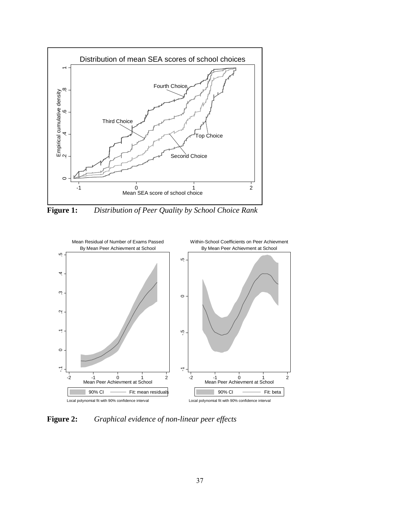

**Figure 1:** *Distribution of Peer Quality by School Choice Rank*



**Figure 2:** *Graphical evidence of non-linear peer effects*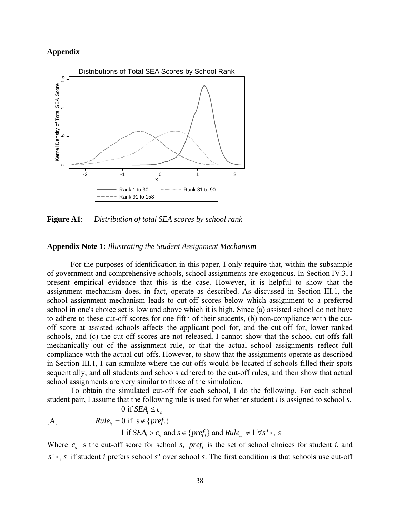### **Appendix**



**Figure A1**: *Distribution of total SEA scores by school rank*

#### **Appendix Note 1:** *Illustrating the Student Assignment Mechanism*

 For the purposes of identification in this paper, I only require that, within the subsample of government and comprehensive schools, school assignments are exogenous. In Section IV.3, I present empirical evidence that this is the case. However, it is helpful to show that the assignment mechanism does, in fact, operate as described. As discussed in Section III.1, the school assignment mechanism leads to cut-off scores below which assignment to a preferred school in one's choice set is low and above which it is high. Since (a) assisted school do not have to adhere to these cut-off scores for one fifth of their students, (b) non-compliance with the cutoff score at assisted schools affects the applicant pool for, and the cut-off for, lower ranked schools, and (c) the cut-off scores are not released, I cannot show that the school cut-offs fall mechanically out of the assignment rule, or that the actual school assignments reflect full compliance with the actual cut-offs. However, to show that the assignments operate as described in Section III.1, I can simulate where the cut-offs would be located if schools filled their spots sequentially, and all students and schools adhered to the cut-off rules, and then show that actual school assignments are very similar to those of the simulation.

To obtain the simulated cut-off for each school, I do the following. For each school student pair, I assume that the following rule is used for whether student *i* is assigned to school *s*.

0 if  $SEA_i \leq c_s$ 

 $[A]$  $Rule_{is} = 0$  if  $s \notin \{pref_i\}$ 

1 if  $SEA_i > c_s$  and  $s \in \{pref_i\}$  and  $Rule_{is'} \neq 1 \,\forall s' \succ_i s$ 

Where  $c_s$  is the cut-off score for school *s*, *pref<sub>i</sub>* is the set of school choices for student *i*, and  $s' \succ_i s$  if student *i* prefers school *s*' over school *s*. The first condition is that schools use cut-off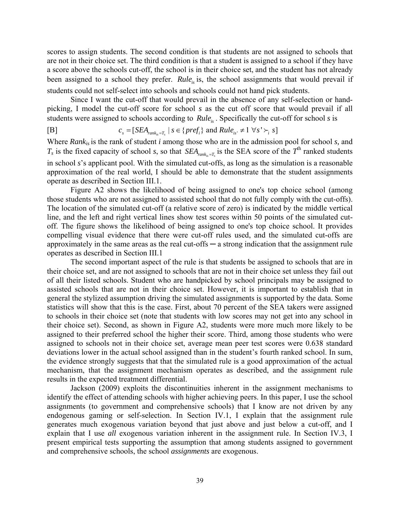scores to assign students. The second condition is that students are not assigned to schools that are not in their choice set. The third condition is that a student is assigned to a school if they have a score above the schools cut-off, the school is in their choice set, and the student has not already been assigned to a school they prefer. *Rule<sub>is</sub>* is, the school assignments that would prevail if students could not self-select into schools and schools could not hand pick students.

Since I want the cut-off that would prevail in the absence of any self-selection or handpicking, I model the cut-off score for school *s* as the cut off score that would prevail if all students were assigned to schools according to *Rule<sub>is</sub>*. Specifically the cut-off for school *s* is

$$
[B] \qquad \qquad c_s = [StA_{rank_{is} = T_s} \mid s \in \{pref_i\} \text{ and } Rule_{is'} \neq 1 \ \forall s' \succ_i s]
$$

Where *Rankis* is the rank of student *i* among those who are in the admission pool for school *s,* and  $T_s$  is the fixed capacity of school *s*, so that *SEA*<sub>*rank*  $=$ *T*</sub> is the SEA score of the  $T^{\text{th}}$  ranked students in school *s*'s applicant pool. With the simulated cut-offs, as long as the simulation is a reasonable approximation of the real world, I should be able to demonstrate that the student assignments operate as described in Section III.1.

Figure A2 shows the likelihood of being assigned to one's top choice school (among those students who are not assigned to assisted school that do not fully comply with the cut-offs). The location of the simulated cut-off (a relative score of zero) is indicated by the middle vertical line, and the left and right vertical lines show test scores within 50 points of the simulated cutoff. The figure shows the likelihood of being assigned to one's top choice school. It provides compelling visual evidence that there were cut-off rules used, and the simulated cut-offs are approximately in the same areas as the real cut-offs  $-a$  strong indication that the assignment rule operates as described in Section III.1

The second important aspect of the rule is that students be assigned to schools that are in their choice set, and are not assigned to schools that are not in their choice set unless they fail out of all their listed schools. Student who are handpicked by school principals may be assigned to assisted schools that are not in their choice set. However, it is important to establish that in general the stylized assumption driving the simulated assignments is supported by the data. Some statistics will show that this is the case. First, about 70 percent of the SEA takers were assigned to schools in their choice set (note that students with low scores may not get into any school in their choice set). Second, as shown in Figure A2, students were more much more likely to be assigned to their preferred school the higher their score. Third, among those students who were assigned to schools not in their choice set, average mean peer test scores were 0.638 standard deviations lower in the actual school assigned than in the student's fourth ranked school. In sum, the evidence strongly suggests that that the simulated rule is a good approximation of the actual mechanism, that the assignment mechanism operates as described, and the assignment rule results in the expected treatment differential.

Jackson (2009) exploits the discontinuities inherent in the assignment mechanisms to identify the effect of attending schools with higher achieving peers. In this paper, I use the school assignments (to government and comprehensive schools) that I know are not driven by any endogenous gaming or self-selection. In Section IV.1, I explain that the assignment rule generates much exogenous variation beyond that just above and just below a cut-off, and I explain that I use *all* exogenous variation inherent in the assignment rule. In Section IV.3, I present empirical tests supporting the assumption that among students assigned to government and comprehensive schools, the school *assignments* are exogenous.